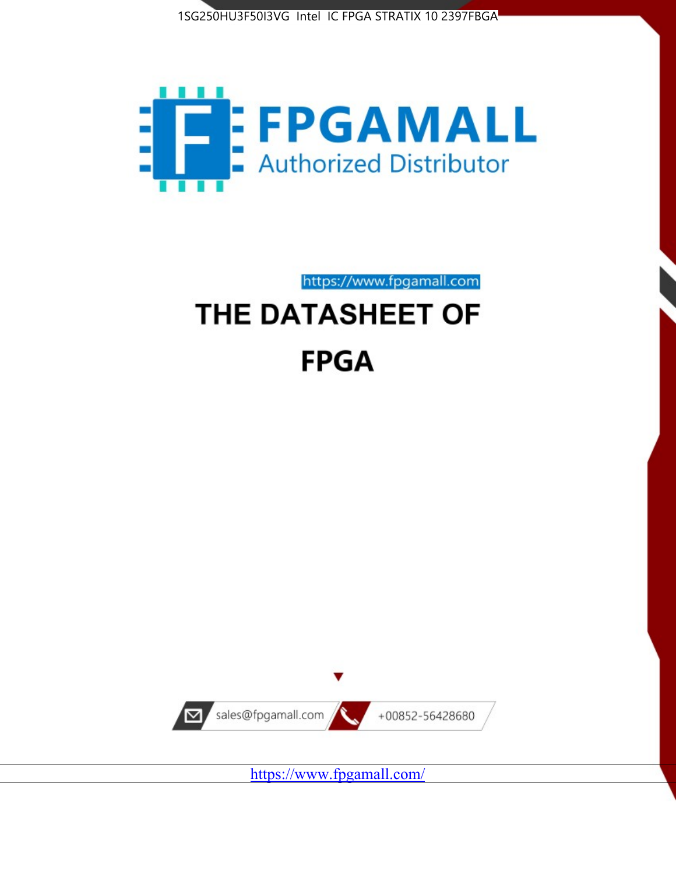



https://www.fpgamall.com

# THE DATASHEET OF **FPGA**



<https://www.fpgamall.com/>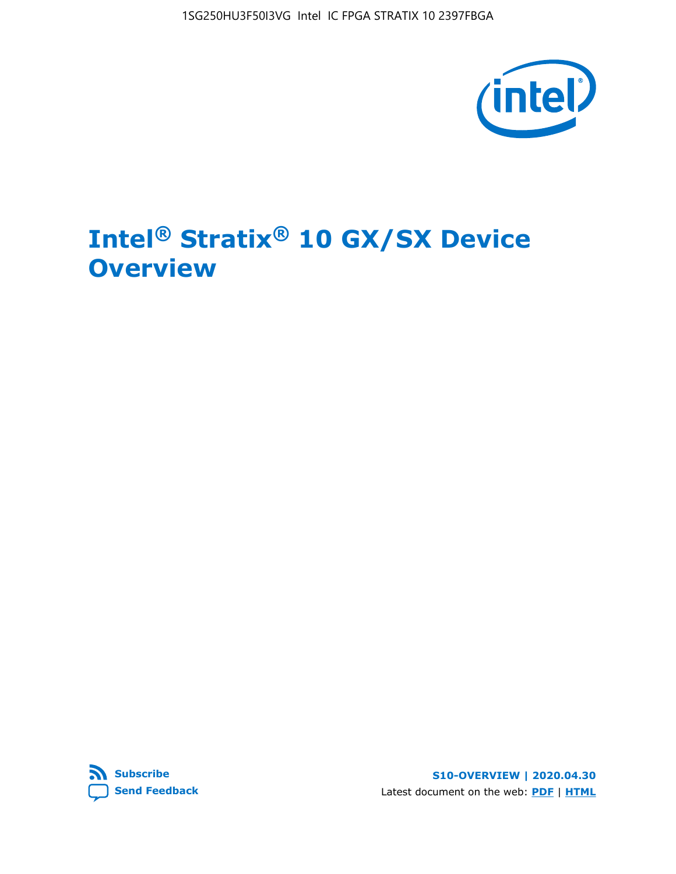1SG250HU3F50I3VG Intel IC FPGA STRATIX 10 2397FBGA



# **Intel® Stratix® 10 GX/SX Device Overview**



**S10-OVERVIEW | 2020.04.30** Latest document on the web: **[PDF](https://www.intel.com/content/dam/www/programmable/us/en/pdfs/literature/hb/stratix-10/s10-overview.pdf)** | **[HTML](https://www.intel.com/content/www/us/en/programmable/documentation/joc1442261161666.html)**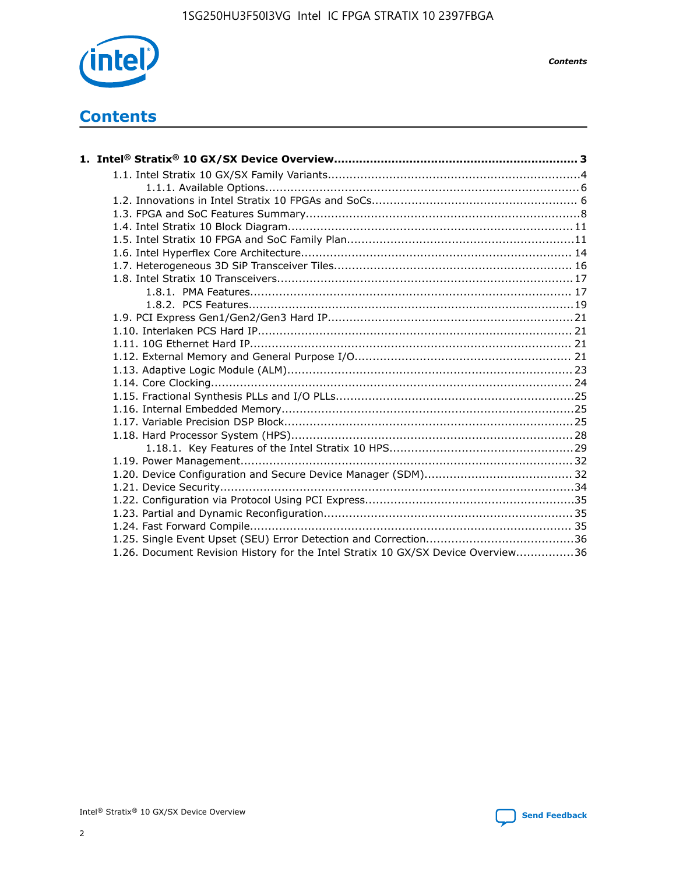

*Contents*

# **Contents**

| 1.26. Document Revision History for the Intel Stratix 10 GX/SX Device Overview36 |  |
|----------------------------------------------------------------------------------|--|

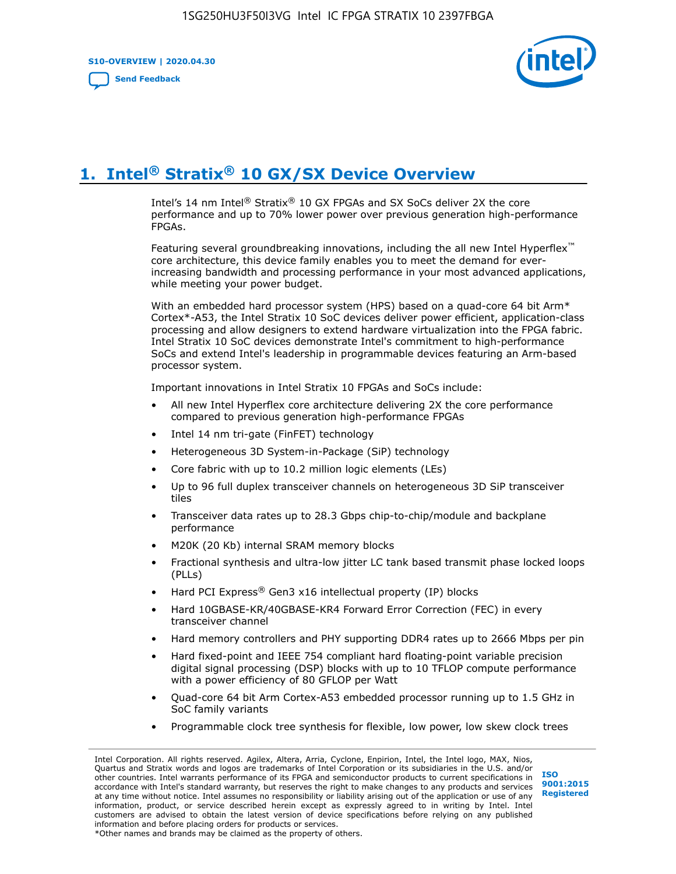**S10-OVERVIEW | 2020.04.30**

**[Send Feedback](mailto:FPGAtechdocfeedback@intel.com?subject=Feedback%20on%20Intel%20Stratix%2010%20GX/SX%20Device%20Overview%20(S10-OVERVIEW%202020.04.30)&body=We%20appreciate%20your%20feedback.%20In%20your%20comments,%20also%20specify%20the%20page%20number%20or%20paragraph.%20Thank%20you.)**



# **1. Intel® Stratix® 10 GX/SX Device Overview**

Intel's 14 nm Intel® Stratix® 10 GX FPGAs and SX SoCs deliver 2X the core performance and up to 70% lower power over previous generation high-performance FPGAs.

Featuring several groundbreaking innovations, including the all new Intel Hyperflex™ core architecture, this device family enables you to meet the demand for everincreasing bandwidth and processing performance in your most advanced applications, while meeting your power budget.

With an embedded hard processor system (HPS) based on a quad-core 64 bit Arm\* Cortex\*-A53, the Intel Stratix 10 SoC devices deliver power efficient, application-class processing and allow designers to extend hardware virtualization into the FPGA fabric. Intel Stratix 10 SoC devices demonstrate Intel's commitment to high-performance SoCs and extend Intel's leadership in programmable devices featuring an Arm-based processor system.

Important innovations in Intel Stratix 10 FPGAs and SoCs include:

- All new Intel Hyperflex core architecture delivering 2X the core performance compared to previous generation high-performance FPGAs
- Intel 14 nm tri-gate (FinFET) technology
- Heterogeneous 3D System-in-Package (SiP) technology
- Core fabric with up to 10.2 million logic elements (LEs)
- Up to 96 full duplex transceiver channels on heterogeneous 3D SiP transceiver tiles
- Transceiver data rates up to 28.3 Gbps chip-to-chip/module and backplane performance
- M20K (20 Kb) internal SRAM memory blocks
- Fractional synthesis and ultra-low jitter LC tank based transmit phase locked loops (PLLs)
- Hard PCI Express<sup>®</sup> Gen3 x16 intellectual property (IP) blocks
- Hard 10GBASE-KR/40GBASE-KR4 Forward Error Correction (FEC) in every transceiver channel
- Hard memory controllers and PHY supporting DDR4 rates up to 2666 Mbps per pin
- Hard fixed-point and IEEE 754 compliant hard floating-point variable precision digital signal processing (DSP) blocks with up to 10 TFLOP compute performance with a power efficiency of 80 GFLOP per Watt
- Quad-core 64 bit Arm Cortex-A53 embedded processor running up to 1.5 GHz in SoC family variants
- Programmable clock tree synthesis for flexible, low power, low skew clock trees

Intel Corporation. All rights reserved. Agilex, Altera, Arria, Cyclone, Enpirion, Intel, the Intel logo, MAX, Nios, Quartus and Stratix words and logos are trademarks of Intel Corporation or its subsidiaries in the U.S. and/or other countries. Intel warrants performance of its FPGA and semiconductor products to current specifications in accordance with Intel's standard warranty, but reserves the right to make changes to any products and services at any time without notice. Intel assumes no responsibility or liability arising out of the application or use of any information, product, or service described herein except as expressly agreed to in writing by Intel. Intel customers are advised to obtain the latest version of device specifications before relying on any published information and before placing orders for products or services. \*Other names and brands may be claimed as the property of others.

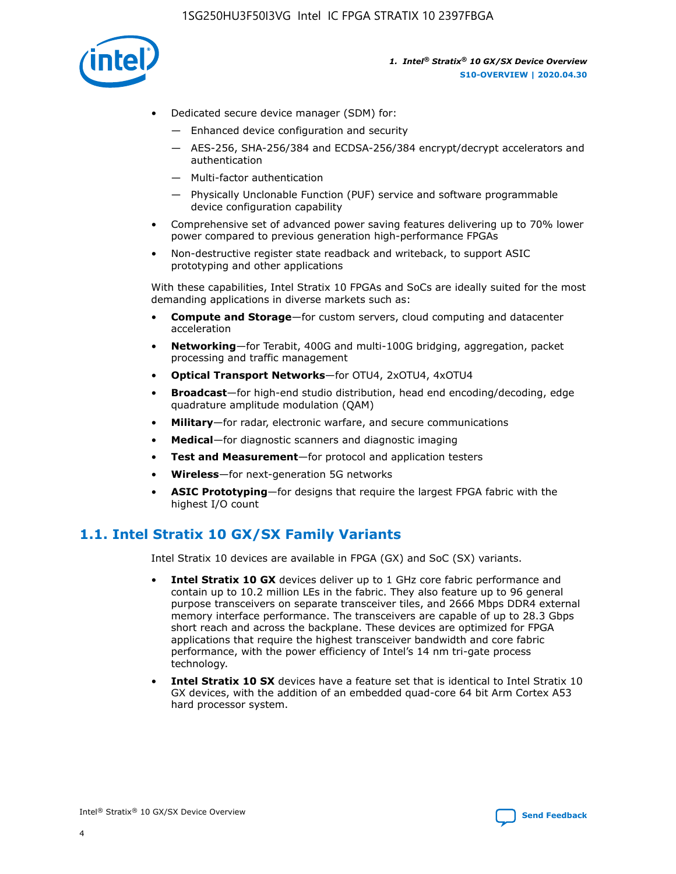

- Dedicated secure device manager (SDM) for:
	- Enhanced device configuration and security
	- AES-256, SHA-256/384 and ECDSA-256/384 encrypt/decrypt accelerators and authentication
	- Multi-factor authentication
	- Physically Unclonable Function (PUF) service and software programmable device configuration capability
- Comprehensive set of advanced power saving features delivering up to 70% lower power compared to previous generation high-performance FPGAs
- Non-destructive register state readback and writeback, to support ASIC prototyping and other applications

With these capabilities, Intel Stratix 10 FPGAs and SoCs are ideally suited for the most demanding applications in diverse markets such as:

- **Compute and Storage**—for custom servers, cloud computing and datacenter acceleration
- **Networking**—for Terabit, 400G and multi-100G bridging, aggregation, packet processing and traffic management
- **Optical Transport Networks**—for OTU4, 2xOTU4, 4xOTU4
- **Broadcast**—for high-end studio distribution, head end encoding/decoding, edge quadrature amplitude modulation (QAM)
- **Military**—for radar, electronic warfare, and secure communications
- **Medical**—for diagnostic scanners and diagnostic imaging
- **Test and Measurement**—for protocol and application testers
- **Wireless**—for next-generation 5G networks
- **ASIC Prototyping**—for designs that require the largest FPGA fabric with the highest I/O count

## **1.1. Intel Stratix 10 GX/SX Family Variants**

Intel Stratix 10 devices are available in FPGA (GX) and SoC (SX) variants.

- **Intel Stratix 10 GX** devices deliver up to 1 GHz core fabric performance and contain up to 10.2 million LEs in the fabric. They also feature up to 96 general purpose transceivers on separate transceiver tiles, and 2666 Mbps DDR4 external memory interface performance. The transceivers are capable of up to 28.3 Gbps short reach and across the backplane. These devices are optimized for FPGA applications that require the highest transceiver bandwidth and core fabric performance, with the power efficiency of Intel's 14 nm tri-gate process technology.
- **Intel Stratix 10 SX** devices have a feature set that is identical to Intel Stratix 10 GX devices, with the addition of an embedded quad-core 64 bit Arm Cortex A53 hard processor system.

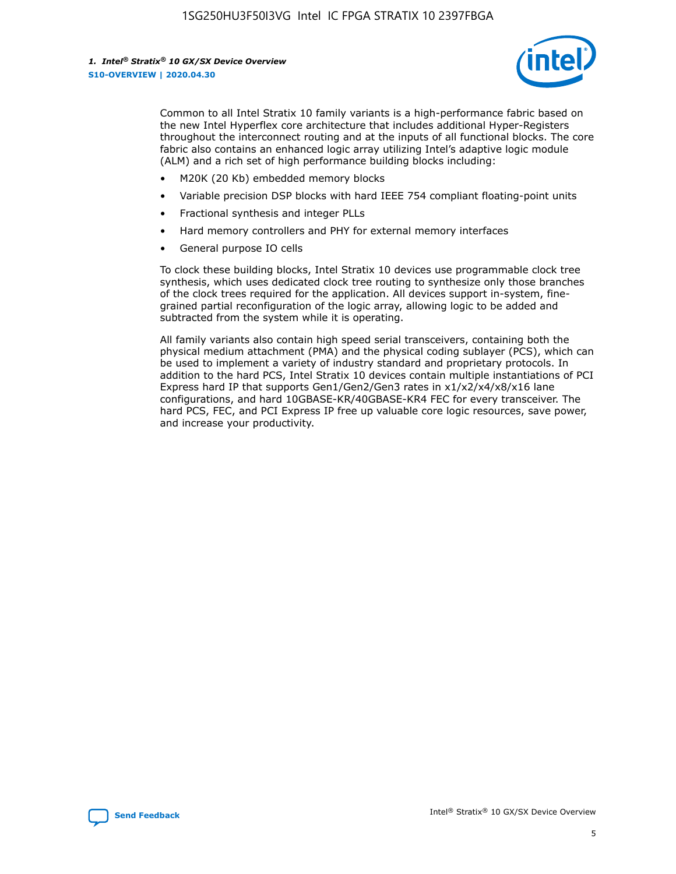

Common to all Intel Stratix 10 family variants is a high-performance fabric based on the new Intel Hyperflex core architecture that includes additional Hyper-Registers throughout the interconnect routing and at the inputs of all functional blocks. The core fabric also contains an enhanced logic array utilizing Intel's adaptive logic module (ALM) and a rich set of high performance building blocks including:

- M20K (20 Kb) embedded memory blocks
- Variable precision DSP blocks with hard IEEE 754 compliant floating-point units
- Fractional synthesis and integer PLLs
- Hard memory controllers and PHY for external memory interfaces
- General purpose IO cells

To clock these building blocks, Intel Stratix 10 devices use programmable clock tree synthesis, which uses dedicated clock tree routing to synthesize only those branches of the clock trees required for the application. All devices support in-system, finegrained partial reconfiguration of the logic array, allowing logic to be added and subtracted from the system while it is operating.

All family variants also contain high speed serial transceivers, containing both the physical medium attachment (PMA) and the physical coding sublayer (PCS), which can be used to implement a variety of industry standard and proprietary protocols. In addition to the hard PCS, Intel Stratix 10 devices contain multiple instantiations of PCI Express hard IP that supports Gen1/Gen2/Gen3 rates in x1/x2/x4/x8/x16 lane configurations, and hard 10GBASE-KR/40GBASE-KR4 FEC for every transceiver. The hard PCS, FEC, and PCI Express IP free up valuable core logic resources, save power, and increase your productivity.

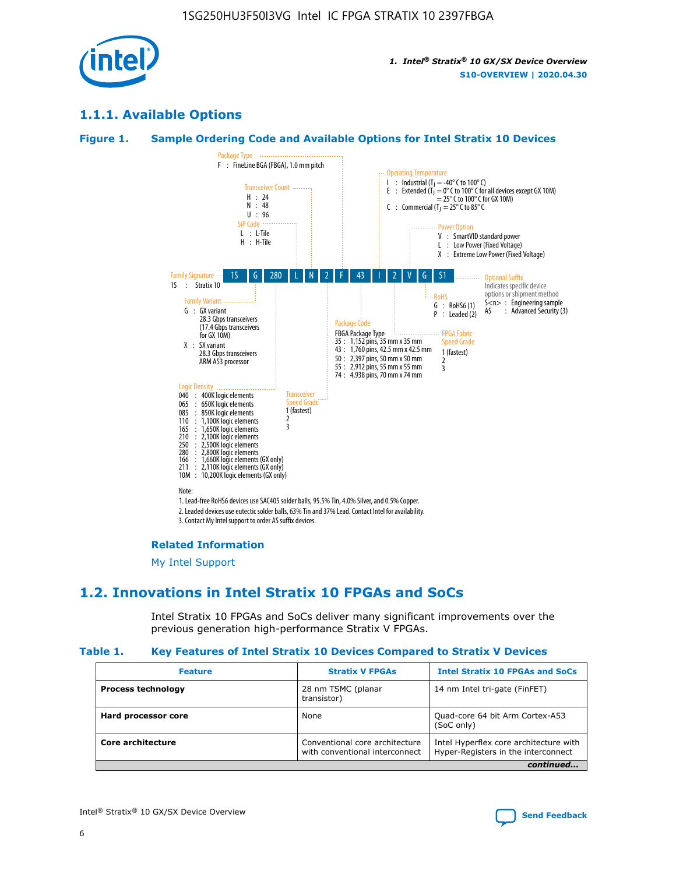

## **1.1.1. Available Options**

#### **Figure 1. Sample Ordering Code and Available Options for Intel Stratix 10 Devices**



## **Related Information**

[My Intel Support](https://www.intel.com/content/www/us/en/programmable/my-intel/mal-home.html)

## **1.2. Innovations in Intel Stratix 10 FPGAs and SoCs**

Intel Stratix 10 FPGAs and SoCs deliver many significant improvements over the previous generation high-performance Stratix V FPGAs.

#### **Table 1. Key Features of Intel Stratix 10 Devices Compared to Stratix V Devices**

| <b>Feature</b>            | <b>Stratix V FPGAs</b>                                           | <b>Intel Stratix 10 FPGAs and SoCs</b>                                        |  |  |  |
|---------------------------|------------------------------------------------------------------|-------------------------------------------------------------------------------|--|--|--|
| <b>Process technology</b> | 28 nm TSMC (planar<br>transistor)                                | 14 nm Intel tri-gate (FinFET)                                                 |  |  |  |
| Hard processor core       | None                                                             | Quad-core 64 bit Arm Cortex-A53<br>(SoC only)                                 |  |  |  |
| Core architecture         | Conventional core architecture<br>with conventional interconnect | Intel Hyperflex core architecture with<br>Hyper-Registers in the interconnect |  |  |  |
| continued                 |                                                                  |                                                                               |  |  |  |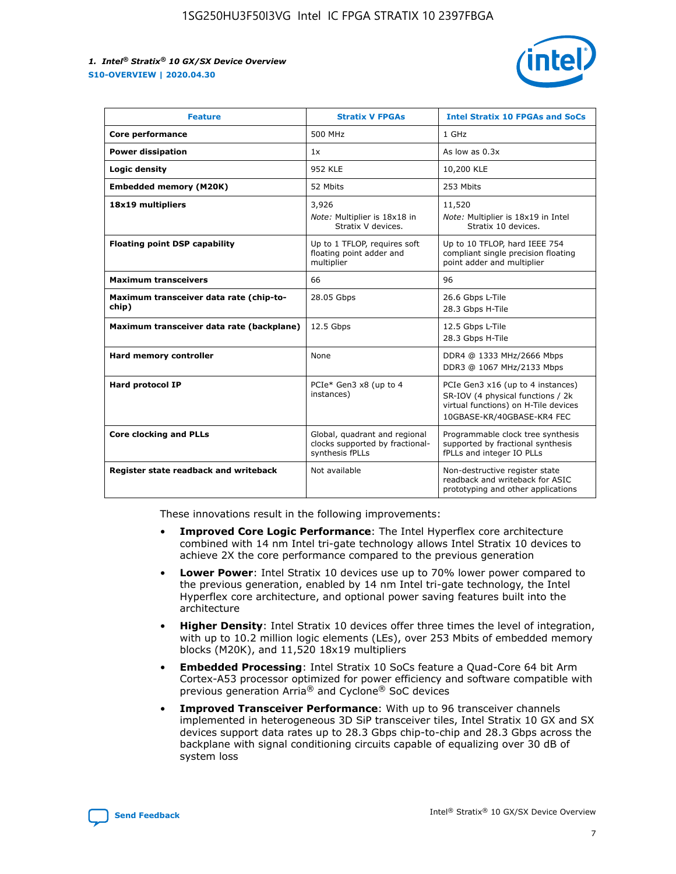

| <b>Feature</b>                                   | <b>Stratix V FPGAs</b>                                                              | <b>Intel Stratix 10 FPGAs and SoCs</b>                                                                                                       |
|--------------------------------------------------|-------------------------------------------------------------------------------------|----------------------------------------------------------------------------------------------------------------------------------------------|
| Core performance                                 | 500 MHz                                                                             | 1 GHz                                                                                                                                        |
| <b>Power dissipation</b>                         | 1x                                                                                  | As low as $0.3x$                                                                                                                             |
| Logic density                                    | <b>952 KLE</b>                                                                      | 10,200 KLE                                                                                                                                   |
| <b>Embedded memory (M20K)</b>                    | 52 Mbits                                                                            | 253 Mbits                                                                                                                                    |
| 18x19 multipliers                                | 3,926                                                                               | 11,520                                                                                                                                       |
|                                                  | Note: Multiplier is 18x18 in<br>Stratix V devices.                                  | Note: Multiplier is 18x19 in Intel<br>Stratix 10 devices.                                                                                    |
| <b>Floating point DSP capability</b>             | Up to 1 TFLOP, requires soft<br>floating point adder and<br>multiplier              | Up to 10 TFLOP, hard IEEE 754<br>compliant single precision floating<br>point adder and multiplier                                           |
| <b>Maximum transceivers</b>                      | 66                                                                                  | 96                                                                                                                                           |
| Maximum transceiver data rate (chip-to-<br>chip) | 28.05 Gbps                                                                          | 26.6 Gbps L-Tile<br>28.3 Gbps H-Tile                                                                                                         |
| Maximum transceiver data rate (backplane)        | 12.5 Gbps                                                                           | 12.5 Gbps L-Tile<br>28.3 Gbps H-Tile                                                                                                         |
| Hard memory controller                           | None                                                                                | DDR4 @ 1333 MHz/2666 Mbps<br>DDR3 @ 1067 MHz/2133 Mbps                                                                                       |
| Hard protocol IP                                 | PCIe* Gen3 x8 (up to 4<br>instances)                                                | PCIe Gen3 x16 (up to 4 instances)<br>SR-IOV (4 physical functions / 2k<br>virtual functions) on H-Tile devices<br>10GBASE-KR/40GBASE-KR4 FEC |
| <b>Core clocking and PLLs</b>                    | Global, quadrant and regional<br>clocks supported by fractional-<br>synthesis fPLLs | Programmable clock tree synthesis<br>supported by fractional synthesis<br>fPLLs and integer IO PLLs                                          |
| Register state readback and writeback            | Not available                                                                       | Non-destructive register state<br>readback and writeback for ASIC<br>prototyping and other applications                                      |

These innovations result in the following improvements:

- **Improved Core Logic Performance**: The Intel Hyperflex core architecture combined with 14 nm Intel tri-gate technology allows Intel Stratix 10 devices to achieve 2X the core performance compared to the previous generation
- **Lower Power**: Intel Stratix 10 devices use up to 70% lower power compared to the previous generation, enabled by 14 nm Intel tri-gate technology, the Intel Hyperflex core architecture, and optional power saving features built into the architecture
- **Higher Density**: Intel Stratix 10 devices offer three times the level of integration, with up to 10.2 million logic elements (LEs), over 253 Mbits of embedded memory blocks (M20K), and 11,520 18x19 multipliers
- **Embedded Processing**: Intel Stratix 10 SoCs feature a Quad-Core 64 bit Arm Cortex-A53 processor optimized for power efficiency and software compatible with previous generation Arria® and Cyclone® SoC devices
- **Improved Transceiver Performance**: With up to 96 transceiver channels implemented in heterogeneous 3D SiP transceiver tiles, Intel Stratix 10 GX and SX devices support data rates up to 28.3 Gbps chip-to-chip and 28.3 Gbps across the backplane with signal conditioning circuits capable of equalizing over 30 dB of system loss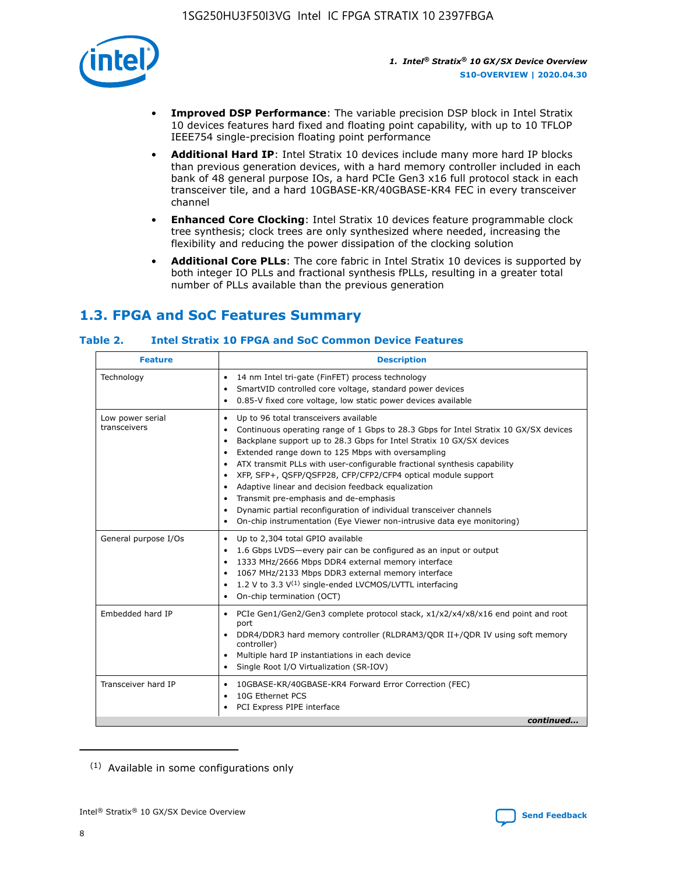

- **Improved DSP Performance**: The variable precision DSP block in Intel Stratix 10 devices features hard fixed and floating point capability, with up to 10 TFLOP IEEE754 single-precision floating point performance
- **Additional Hard IP**: Intel Stratix 10 devices include many more hard IP blocks than previous generation devices, with a hard memory controller included in each bank of 48 general purpose IOs, a hard PCIe Gen3 x16 full protocol stack in each transceiver tile, and a hard 10GBASE-KR/40GBASE-KR4 FEC in every transceiver channel
- **Enhanced Core Clocking**: Intel Stratix 10 devices feature programmable clock tree synthesis; clock trees are only synthesized where needed, increasing the flexibility and reducing the power dissipation of the clocking solution
- **Additional Core PLLs**: The core fabric in Intel Stratix 10 devices is supported by both integer IO PLLs and fractional synthesis fPLLs, resulting in a greater total number of PLLs available than the previous generation

## **1.3. FPGA and SoC Features Summary**

## **Table 2. Intel Stratix 10 FPGA and SoC Common Device Features**

| <b>Feature</b>                   | <b>Description</b>                                                                                                                                                                                                                                                                                                                                                                                                                                                                                                                                                                                                                                                                                                                      |
|----------------------------------|-----------------------------------------------------------------------------------------------------------------------------------------------------------------------------------------------------------------------------------------------------------------------------------------------------------------------------------------------------------------------------------------------------------------------------------------------------------------------------------------------------------------------------------------------------------------------------------------------------------------------------------------------------------------------------------------------------------------------------------------|
| Technology                       | 14 nm Intel tri-gate (FinFET) process technology<br>٠<br>SmartVID controlled core voltage, standard power devices<br>0.85-V fixed core voltage, low static power devices available                                                                                                                                                                                                                                                                                                                                                                                                                                                                                                                                                      |
| Low power serial<br>transceivers | Up to 96 total transceivers available<br>$\bullet$<br>Continuous operating range of 1 Gbps to 28.3 Gbps for Intel Stratix 10 GX/SX devices<br>$\bullet$<br>Backplane support up to 28.3 Gbps for Intel Stratix 10 GX/SX devices<br>$\bullet$<br>Extended range down to 125 Mbps with oversampling<br>$\bullet$<br>ATX transmit PLLs with user-configurable fractional synthesis capability<br>$\bullet$<br>• XFP, SFP+, QSFP/QSFP28, CFP/CFP2/CFP4 optical module support<br>• Adaptive linear and decision feedback equalization<br>Transmit pre-emphasis and de-emphasis<br>Dynamic partial reconfiguration of individual transceiver channels<br>$\bullet$<br>On-chip instrumentation (Eye Viewer non-intrusive data eye monitoring) |
| General purpose I/Os             | Up to 2,304 total GPIO available<br>$\bullet$<br>1.6 Gbps LVDS-every pair can be configured as an input or output<br>1333 MHz/2666 Mbps DDR4 external memory interface<br>1067 MHz/2133 Mbps DDR3 external memory interface<br>• 1.2 V to 3.3 $V^{(1)}$ single-ended LVCMOS/LVTTL interfacing<br>On-chip termination (OCT)<br>$\bullet$                                                                                                                                                                                                                                                                                                                                                                                                 |
| Embedded hard IP                 | PCIe Gen1/Gen2/Gen3 complete protocol stack, $x1/x2/x4/x8/x16$ end point and root<br>$\bullet$<br>port<br>DDR4/DDR3 hard memory controller (RLDRAM3/QDR II+/QDR IV using soft memory<br>controller)<br>• Multiple hard IP instantiations in each device<br>• Single Root I/O Virtualization (SR-IOV)                                                                                                                                                                                                                                                                                                                                                                                                                                    |
| Transceiver hard IP              | 10GBASE-KR/40GBASE-KR4 Forward Error Correction (FEC)<br>$\bullet$<br>10G Ethernet PCS<br>$\bullet$<br>PCI Express PIPE interface<br>$\bullet$<br>continued                                                                                                                                                                                                                                                                                                                                                                                                                                                                                                                                                                             |

<sup>(1)</sup> Available in some configurations only

8

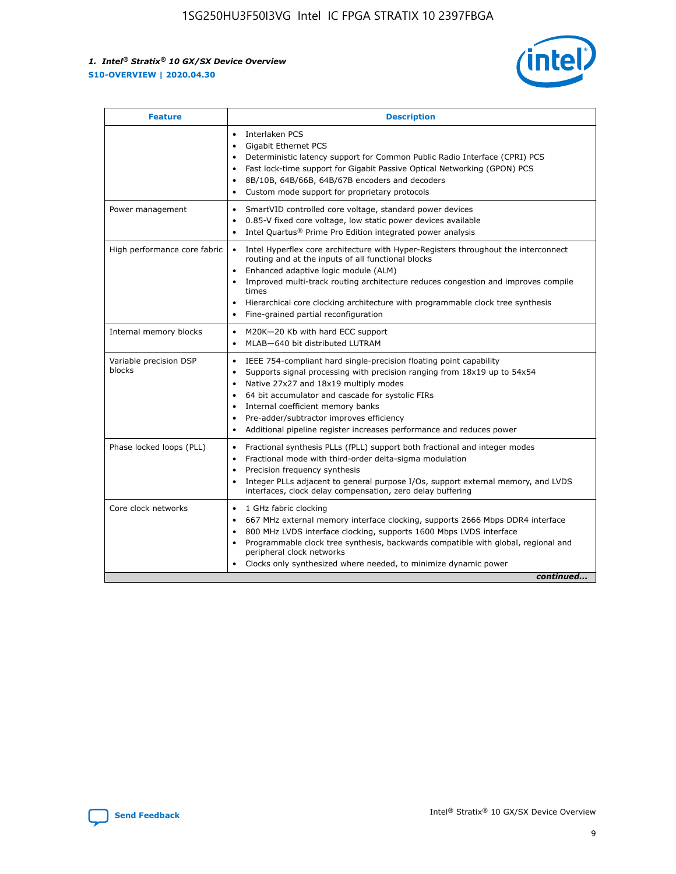

| <b>Feature</b>                   | <b>Description</b>                                                                                                                                                                                                                                                                                                                                                                                                                                                    |  |  |  |
|----------------------------------|-----------------------------------------------------------------------------------------------------------------------------------------------------------------------------------------------------------------------------------------------------------------------------------------------------------------------------------------------------------------------------------------------------------------------------------------------------------------------|--|--|--|
|                                  | Interlaken PCS<br>Gigabit Ethernet PCS<br>$\bullet$<br>Deterministic latency support for Common Public Radio Interface (CPRI) PCS<br>$\bullet$<br>Fast lock-time support for Gigabit Passive Optical Networking (GPON) PCS<br>$\bullet$<br>8B/10B, 64B/66B, 64B/67B encoders and decoders<br>Custom mode support for proprietary protocols                                                                                                                            |  |  |  |
| Power management                 | SmartVID controlled core voltage, standard power devices<br>$\bullet$<br>0.85-V fixed core voltage, low static power devices available<br>$\bullet$<br>Intel Quartus <sup>®</sup> Prime Pro Edition integrated power analysis                                                                                                                                                                                                                                         |  |  |  |
| High performance core fabric     | Intel Hyperflex core architecture with Hyper-Registers throughout the interconnect<br>routing and at the inputs of all functional blocks<br>Enhanced adaptive logic module (ALM)<br>Improved multi-track routing architecture reduces congestion and improves compile<br>times<br>Hierarchical core clocking architecture with programmable clock tree synthesis<br>$\bullet$<br>Fine-grained partial reconfiguration<br>٠                                            |  |  |  |
| Internal memory blocks           | M20K-20 Kb with hard ECC support<br>MLAB-640 bit distributed LUTRAM                                                                                                                                                                                                                                                                                                                                                                                                   |  |  |  |
| Variable precision DSP<br>blocks | IEEE 754-compliant hard single-precision floating point capability<br>$\bullet$<br>Supports signal processing with precision ranging from 18x19 up to 54x54<br>$\bullet$<br>Native 27x27 and 18x19 multiply modes<br>$\bullet$<br>64 bit accumulator and cascade for systolic FIRs<br>Internal coefficient memory banks<br>Pre-adder/subtractor improves efficiency<br>$\bullet$<br>Additional pipeline register increases performance and reduces power<br>$\bullet$ |  |  |  |
| Phase locked loops (PLL)         | Fractional synthesis PLLs (fPLL) support both fractional and integer modes<br>$\bullet$<br>Fractional mode with third-order delta-sigma modulation<br>$\bullet$<br>Precision frequency synthesis<br>$\bullet$<br>Integer PLLs adjacent to general purpose I/Os, support external memory, and LVDS<br>$\bullet$<br>interfaces, clock delay compensation, zero delay buffering                                                                                          |  |  |  |
| Core clock networks              | 1 GHz fabric clocking<br>$\bullet$<br>667 MHz external memory interface clocking, supports 2666 Mbps DDR4 interface<br>800 MHz LVDS interface clocking, supports 1600 Mbps LVDS interface<br>$\bullet$<br>Programmable clock tree synthesis, backwards compatible with global, regional and<br>$\bullet$<br>peripheral clock networks<br>Clocks only synthesized where needed, to minimize dynamic power<br>continued                                                 |  |  |  |

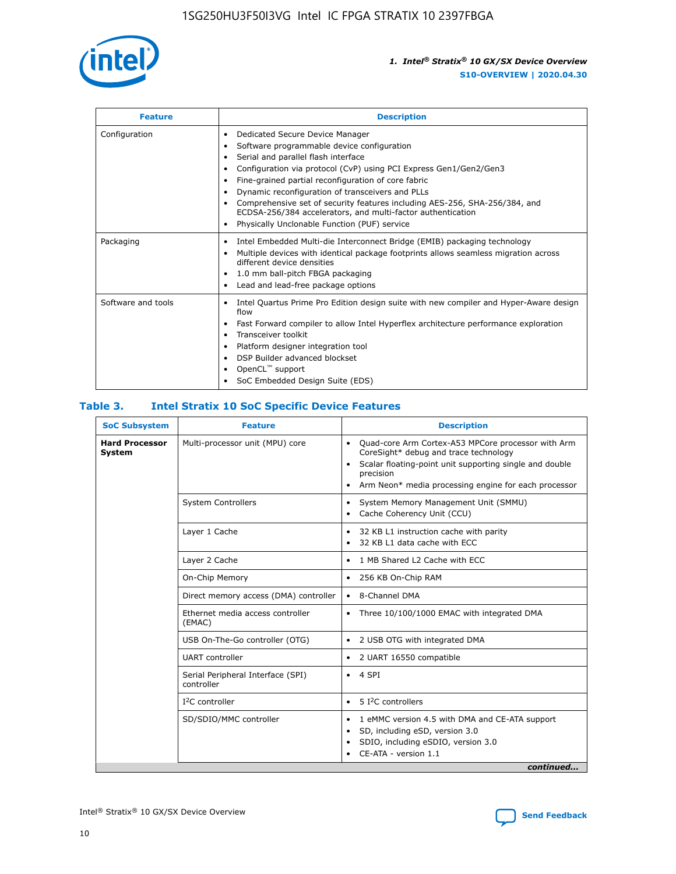

| <b>Feature</b>     | <b>Description</b>                                                                                                                                                                                                                                                                                                                                                                                                                                                                                                    |
|--------------------|-----------------------------------------------------------------------------------------------------------------------------------------------------------------------------------------------------------------------------------------------------------------------------------------------------------------------------------------------------------------------------------------------------------------------------------------------------------------------------------------------------------------------|
| Configuration      | Dedicated Secure Device Manager<br>٠<br>Software programmable device configuration<br>٠<br>Serial and parallel flash interface<br>٠<br>Configuration via protocol (CvP) using PCI Express Gen1/Gen2/Gen3<br>Fine-grained partial reconfiguration of core fabric<br>Dynamic reconfiguration of transceivers and PLLs<br>٠<br>Comprehensive set of security features including AES-256, SHA-256/384, and<br>ECDSA-256/384 accelerators, and multi-factor authentication<br>Physically Unclonable Function (PUF) service |
| Packaging          | Intel Embedded Multi-die Interconnect Bridge (EMIB) packaging technology<br>٠<br>Multiple devices with identical package footprints allows seamless migration across<br>٠<br>different device densities<br>1.0 mm ball-pitch FBGA packaging<br>٠<br>Lead and lead-free package options                                                                                                                                                                                                                                |
| Software and tools | Intel Quartus Prime Pro Edition design suite with new compiler and Hyper-Aware design<br>flow<br>Fast Forward compiler to allow Intel Hyperflex architecture performance exploration<br>٠<br>Transceiver toolkit<br>Platform designer integration tool<br>DSP Builder advanced blockset<br>OpenCL <sup>™</sup> support<br>SoC Embedded Design Suite (EDS)                                                                                                                                                             |

## **Table 3. Intel Stratix 10 SoC Specific Device Features**

| <b>Hard Processor</b><br>Multi-processor unit (MPU) core<br>Quad-core Arm Cortex-A53 MPCore processor with Arm<br>$\bullet$<br>CoreSight* debug and trace technology<br>System<br>Scalar floating-point unit supporting single and double<br>$\bullet$<br>precision<br>Arm Neon* media processing engine for each processor<br>$\bullet$<br><b>System Controllers</b><br>System Memory Management Unit (SMMU)<br>$\bullet$<br>Cache Coherency Unit (CCU)<br>$\bullet$<br>Layer 1 Cache<br>32 KB L1 instruction cache with parity<br>$\bullet$<br>32 KB L1 data cache with ECC<br>$\bullet$<br>Layer 2 Cache<br>1 MB Shared L2 Cache with ECC<br>$\bullet$<br>On-Chip Memory<br>256 KB On-Chip RAM<br>٠<br>Direct memory access (DMA) controller<br>8-Channel DMA<br>$\bullet$<br>Ethernet media access controller<br>Three 10/100/1000 EMAC with integrated DMA<br>$\bullet$<br>(EMAC)<br>USB On-The-Go controller (OTG)<br>2 USB OTG with integrated DMA<br>$\bullet$<br><b>UART</b> controller<br>2 UART 16550 compatible<br>$\bullet$<br>Serial Peripheral Interface (SPI)<br>4 SPI<br>$\bullet$<br>controller<br>$I2C$ controller<br>5 I <sup>2</sup> C controllers<br>$\bullet$<br>SD/SDIO/MMC controller<br>1 eMMC version 4.5 with DMA and CE-ATA support<br>$\bullet$<br>SD, including eSD, version 3.0<br>$\bullet$<br>SDIO, including eSDIO, version 3.0<br>$\bullet$<br>CE-ATA - version 1.1 | <b>SoC Subsystem</b> | <b>Feature</b> | <b>Description</b> |  |  |
|---------------------------------------------------------------------------------------------------------------------------------------------------------------------------------------------------------------------------------------------------------------------------------------------------------------------------------------------------------------------------------------------------------------------------------------------------------------------------------------------------------------------------------------------------------------------------------------------------------------------------------------------------------------------------------------------------------------------------------------------------------------------------------------------------------------------------------------------------------------------------------------------------------------------------------------------------------------------------------------------------------------------------------------------------------------------------------------------------------------------------------------------------------------------------------------------------------------------------------------------------------------------------------------------------------------------------------------------------------------------------------------------------------|----------------------|----------------|--------------------|--|--|
|                                                                                                                                                                                                                                                                                                                                                                                                                                                                                                                                                                                                                                                                                                                                                                                                                                                                                                                                                                                                                                                                                                                                                                                                                                                                                                                                                                                                         |                      |                |                    |  |  |
|                                                                                                                                                                                                                                                                                                                                                                                                                                                                                                                                                                                                                                                                                                                                                                                                                                                                                                                                                                                                                                                                                                                                                                                                                                                                                                                                                                                                         |                      |                |                    |  |  |
|                                                                                                                                                                                                                                                                                                                                                                                                                                                                                                                                                                                                                                                                                                                                                                                                                                                                                                                                                                                                                                                                                                                                                                                                                                                                                                                                                                                                         |                      |                |                    |  |  |
|                                                                                                                                                                                                                                                                                                                                                                                                                                                                                                                                                                                                                                                                                                                                                                                                                                                                                                                                                                                                                                                                                                                                                                                                                                                                                                                                                                                                         |                      |                |                    |  |  |
|                                                                                                                                                                                                                                                                                                                                                                                                                                                                                                                                                                                                                                                                                                                                                                                                                                                                                                                                                                                                                                                                                                                                                                                                                                                                                                                                                                                                         |                      |                |                    |  |  |
|                                                                                                                                                                                                                                                                                                                                                                                                                                                                                                                                                                                                                                                                                                                                                                                                                                                                                                                                                                                                                                                                                                                                                                                                                                                                                                                                                                                                         |                      |                |                    |  |  |
|                                                                                                                                                                                                                                                                                                                                                                                                                                                                                                                                                                                                                                                                                                                                                                                                                                                                                                                                                                                                                                                                                                                                                                                                                                                                                                                                                                                                         |                      |                |                    |  |  |
|                                                                                                                                                                                                                                                                                                                                                                                                                                                                                                                                                                                                                                                                                                                                                                                                                                                                                                                                                                                                                                                                                                                                                                                                                                                                                                                                                                                                         |                      |                |                    |  |  |
|                                                                                                                                                                                                                                                                                                                                                                                                                                                                                                                                                                                                                                                                                                                                                                                                                                                                                                                                                                                                                                                                                                                                                                                                                                                                                                                                                                                                         |                      |                |                    |  |  |
|                                                                                                                                                                                                                                                                                                                                                                                                                                                                                                                                                                                                                                                                                                                                                                                                                                                                                                                                                                                                                                                                                                                                                                                                                                                                                                                                                                                                         |                      |                |                    |  |  |
|                                                                                                                                                                                                                                                                                                                                                                                                                                                                                                                                                                                                                                                                                                                                                                                                                                                                                                                                                                                                                                                                                                                                                                                                                                                                                                                                                                                                         |                      |                |                    |  |  |
| continued                                                                                                                                                                                                                                                                                                                                                                                                                                                                                                                                                                                                                                                                                                                                                                                                                                                                                                                                                                                                                                                                                                                                                                                                                                                                                                                                                                                               |                      |                |                    |  |  |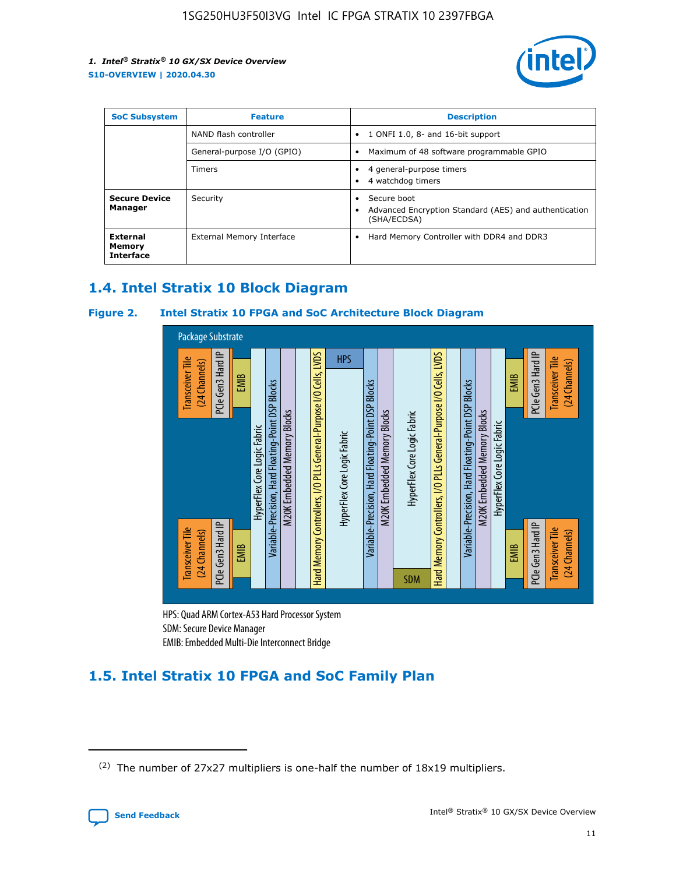

| <b>SoC Subsystem</b>                   | <b>Feature</b>             | <b>Description</b>                                                                                    |  |  |
|----------------------------------------|----------------------------|-------------------------------------------------------------------------------------------------------|--|--|
|                                        | NAND flash controller      | 1 ONFI 1.0, 8- and 16-bit support<br>$\bullet$                                                        |  |  |
|                                        | General-purpose I/O (GPIO) | Maximum of 48 software programmable GPIO<br>$\bullet$                                                 |  |  |
|                                        | Timers                     | 4 general-purpose timers<br>4 watchdog timers<br>٠                                                    |  |  |
| <b>Secure Device</b><br>Manager        | Security                   | Secure boot<br>$\bullet$<br>Advanced Encryption Standard (AES) and authentication<br>٠<br>(SHA/ECDSA) |  |  |
| External<br>Memory<br><b>Interface</b> | External Memory Interface  | Hard Memory Controller with DDR4 and DDR3<br>$\bullet$                                                |  |  |

## **1.4. Intel Stratix 10 Block Diagram**

## **Figure 2. Intel Stratix 10 FPGA and SoC Architecture Block Diagram**



HPS: Quad ARM Cortex-A53 Hard Processor System SDM: Secure Device Manager

## **1.5. Intel Stratix 10 FPGA and SoC Family Plan**

<sup>(2)</sup> The number of 27x27 multipliers is one-half the number of 18x19 multipliers.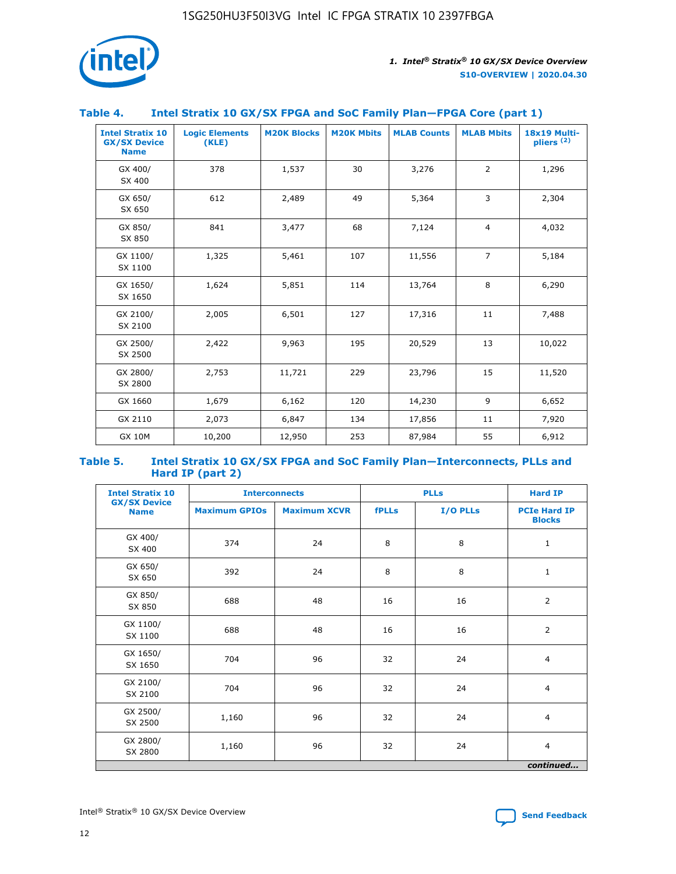

## **Table 4. Intel Stratix 10 GX/SX FPGA and SoC Family Plan—FPGA Core (part 1)**

| <b>Intel Stratix 10</b><br><b>GX/SX Device</b><br><b>Name</b> | <b>Logic Elements</b><br>(KLE) | <b>M20K Blocks</b> | <b>M20K Mbits</b> | <b>MLAB Counts</b> | <b>MLAB Mbits</b> | 18x19 Multi-<br>pliers <sup>(2)</sup> |
|---------------------------------------------------------------|--------------------------------|--------------------|-------------------|--------------------|-------------------|---------------------------------------|
| GX 400/<br>SX 400                                             | 378                            | 1,537              | 30                | 3,276              | $\overline{2}$    | 1,296                                 |
| GX 650/<br>SX 650                                             | 612                            | 2,489              | 49                | 5,364              | 3                 | 2,304                                 |
| GX 850/<br>SX 850                                             | 841                            | 3,477              | 68                | 7,124              | $\overline{4}$    | 4,032                                 |
| GX 1100/<br>SX 1100                                           | 1,325                          | 5,461              | 107               | 11,556             | $\overline{7}$    | 5,184                                 |
| GX 1650/<br>SX 1650                                           | 1,624                          | 5,851              | 114               | 13,764             | 8                 | 6,290                                 |
| GX 2100/<br>SX 2100                                           | 2,005                          | 6,501              | 127               | 17,316             | 11                | 7,488                                 |
| GX 2500/<br>SX 2500                                           | 2,422                          | 9,963              | 195               | 20,529             | 13                | 10,022                                |
| GX 2800/<br>SX 2800                                           | 2,753                          | 11,721             | 229               | 23,796             | 15                | 11,520                                |
| GX 1660                                                       | 1,679                          | 6,162              | 120               | 14,230             | 9                 | 6,652                                 |
| GX 2110                                                       | 2,073                          | 6,847              | 134               | 17,856             | 11                | 7,920                                 |
| <b>GX 10M</b>                                                 | 10,200                         | 12,950             | 253               | 87,984             | 55                | 6,912                                 |

#### **Table 5. Intel Stratix 10 GX/SX FPGA and SoC Family Plan—Interconnects, PLLs and Hard IP (part 2)**

| <b>Intel Stratix 10</b>            | <b>Interconnects</b> |                     | <b>PLLs</b>  |          | <b>Hard IP</b>                       |  |
|------------------------------------|----------------------|---------------------|--------------|----------|--------------------------------------|--|
| <b>GX/SX Device</b><br><b>Name</b> | <b>Maximum GPIOs</b> | <b>Maximum XCVR</b> | <b>fPLLs</b> | I/O PLLs | <b>PCIe Hard IP</b><br><b>Blocks</b> |  |
| GX 400/<br>SX 400                  | 374                  | 24                  | 8            | 8        | $\mathbf{1}$                         |  |
| GX 650/<br>SX 650                  | 392                  | 24                  | 8            | 8        | $\mathbf{1}$                         |  |
| GX 850/<br>SX 850                  | 688                  | 48                  | 16           | 16       | 2                                    |  |
| GX 1100/<br>SX 1100                | 688                  | 48                  | 16           | 16       | 2                                    |  |
| GX 1650/<br>SX 1650                | 704                  | 96                  | 32           | 24       | $\overline{4}$                       |  |
| GX 2100/<br>SX 2100                | 704                  | 96                  | 32           | 24       | $\overline{4}$                       |  |
| GX 2500/<br>SX 2500                | 1,160                | 96                  | 32           | 24       | $\overline{4}$                       |  |
| GX 2800/<br>SX 2800                | 1,160                | 96                  | 32           | 24       | $\overline{4}$                       |  |
| continued                          |                      |                     |              |          |                                      |  |

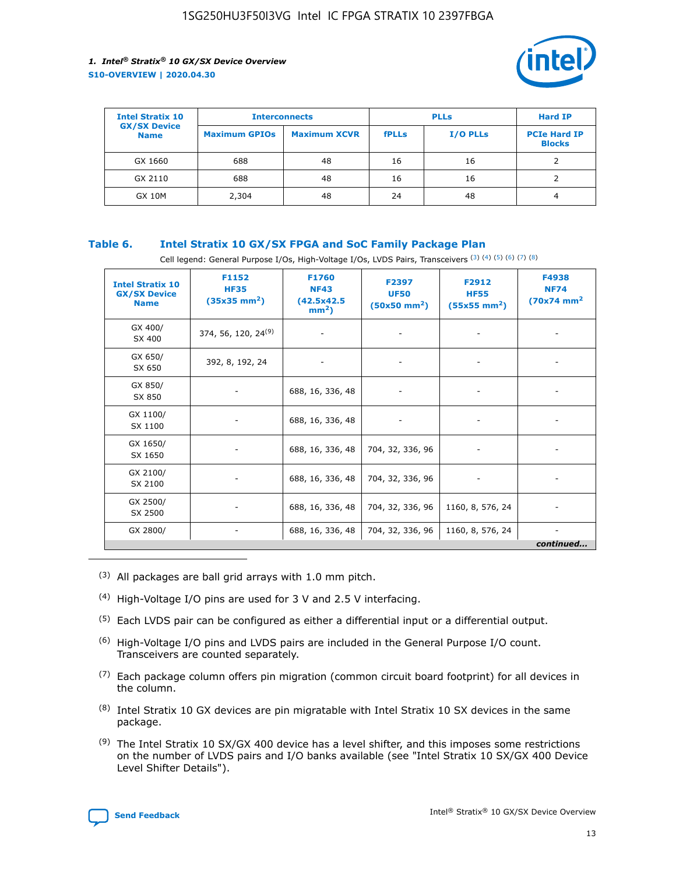

| <b>Intel Stratix 10</b>            |                      | <b>Interconnects</b> |              | <b>PLLs</b>     | <b>Hard IP</b>                       |
|------------------------------------|----------------------|----------------------|--------------|-----------------|--------------------------------------|
| <b>GX/SX Device</b><br><b>Name</b> | <b>Maximum GPIOs</b> | <b>Maximum XCVR</b>  | <b>fPLLs</b> | <b>I/O PLLs</b> | <b>PCIe Hard IP</b><br><b>Blocks</b> |
| GX 1660                            | 688                  | 48                   | 16           | 16              |                                      |
| GX 2110                            | 688                  | 48                   | 16           | 16              |                                      |
| <b>GX 10M</b>                      | 2,304                | 48                   | 24           | 48              | 4                                    |

## **Table 6. Intel Stratix 10 GX/SX FPGA and SoC Family Package Plan**

Cell legend: General Purpose I/Os, High-Voltage I/Os, LVDS Pairs, Transceivers (3) (4) (5) (6) (7) (8)

| <b>Intel Stratix 10</b><br><b>GX/SX Device</b><br><b>Name</b> | F1152<br><b>HF35</b><br>$(35x35 \text{ mm}^2)$ | <b>F1760</b><br><b>NF43</b><br>(42.5x42.5<br>$mm2$ ) | F2397<br><b>UF50</b><br>$(50x50 \text{ mm}^2)$ | F2912<br><b>HF55</b><br>$(55x55 \text{ mm}^2)$ | F4938<br><b>NF74</b><br>$(70x74)$ mm <sup>2</sup> |
|---------------------------------------------------------------|------------------------------------------------|------------------------------------------------------|------------------------------------------------|------------------------------------------------|---------------------------------------------------|
| GX 400/<br>SX 400                                             | 374, 56, 120, 24 <sup>(9)</sup>                | $\overline{\phantom{a}}$                             | $\overline{\phantom{a}}$                       |                                                |                                                   |
| GX 650/<br>SX 650                                             | 392, 8, 192, 24                                | ٠                                                    | $\qquad \qquad \blacksquare$                   |                                                |                                                   |
| GX 850/<br>SX 850                                             | $\overline{\phantom{a}}$                       | 688, 16, 336, 48                                     | $\overline{\phantom{a}}$                       |                                                |                                                   |
| GX 1100/<br>SX 1100                                           | -                                              | 688, 16, 336, 48                                     |                                                |                                                |                                                   |
| GX 1650/<br>SX 1650                                           |                                                | 688, 16, 336, 48                                     | 704, 32, 336, 96                               | $\overline{\phantom{a}}$                       | $\overline{\phantom{0}}$                          |
| GX 2100/<br>SX 2100                                           |                                                | 688, 16, 336, 48                                     | 704, 32, 336, 96                               | $\overline{\phantom{a}}$                       | ٠                                                 |
| GX 2500/<br>SX 2500                                           |                                                | 688, 16, 336, 48                                     | 704, 32, 336, 96                               | 1160, 8, 576, 24                               |                                                   |
| GX 2800/                                                      | -                                              | 688, 16, 336, 48                                     | 704, 32, 336, 96                               | 1160, 8, 576, 24                               | continued                                         |

- (3) All packages are ball grid arrays with 1.0 mm pitch.
- (4) High-Voltage I/O pins are used for 3 V and 2.5 V interfacing.
- $(5)$  Each LVDS pair can be configured as either a differential input or a differential output.
- (6) High-Voltage I/O pins and LVDS pairs are included in the General Purpose I/O count. Transceivers are counted separately.
- $(7)$  Each package column offers pin migration (common circuit board footprint) for all devices in the column.
- $(8)$  Intel Stratix 10 GX devices are pin migratable with Intel Stratix 10 SX devices in the same package.
- $(9)$  The Intel Stratix 10 SX/GX 400 device has a level shifter, and this imposes some restrictions on the number of LVDS pairs and I/O banks available (see "Intel Stratix 10 SX/GX 400 Device Level Shifter Details").

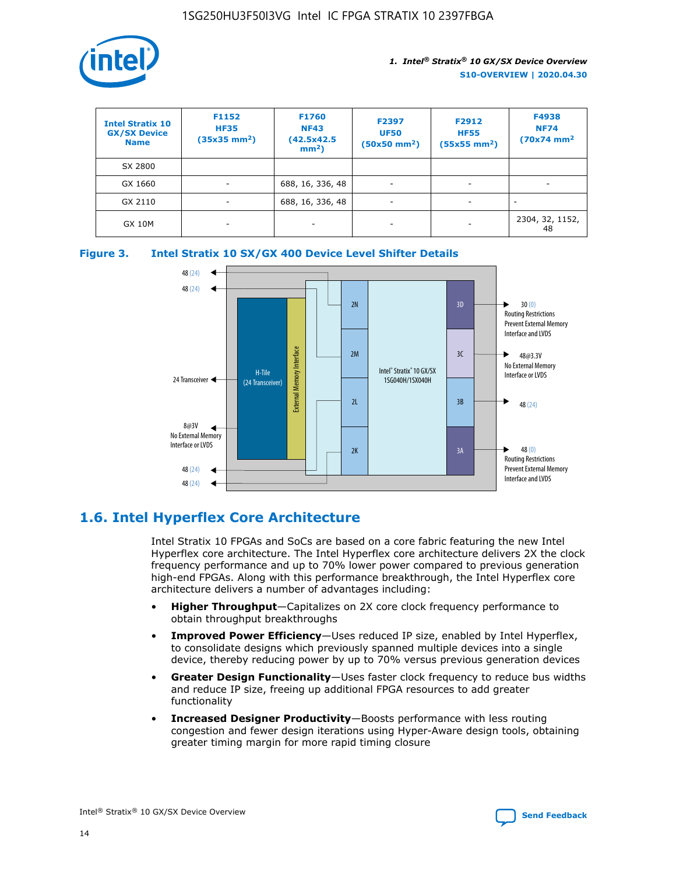

| <b>Intel Stratix 10</b><br><b>GX/SX Device</b><br><b>Name</b> | F1152<br><b>HF35</b><br>$(35x35)$ mm <sup>2</sup> ) | F1760<br><b>NF43</b><br>(42.5x42.5<br>$mm2$ ) | F2397<br><b>UF50</b><br>$(50x50 \text{ mm}^2)$ | F2912<br><b>HF55</b><br>$(55x55$ mm <sup>2</sup> ) | F4938<br><b>NF74</b><br>$(70x74)$ mm <sup>2</sup> |
|---------------------------------------------------------------|-----------------------------------------------------|-----------------------------------------------|------------------------------------------------|----------------------------------------------------|---------------------------------------------------|
| SX 2800                                                       |                                                     |                                               |                                                |                                                    |                                                   |
| GX 1660                                                       | -                                                   | 688, 16, 336, 48                              | $\overline{\phantom{a}}$                       |                                                    |                                                   |
| GX 2110                                                       |                                                     | 688, 16, 336, 48                              | $\overline{\phantom{a}}$                       |                                                    |                                                   |
| <b>GX 10M</b>                                                 | ۰                                                   |                                               |                                                |                                                    | 2304, 32, 1152,<br>48                             |





## **1.6. Intel Hyperflex Core Architecture**

Intel Stratix 10 FPGAs and SoCs are based on a core fabric featuring the new Intel Hyperflex core architecture. The Intel Hyperflex core architecture delivers 2X the clock frequency performance and up to 70% lower power compared to previous generation high-end FPGAs. Along with this performance breakthrough, the Intel Hyperflex core architecture delivers a number of advantages including:

- **Higher Throughput**—Capitalizes on 2X core clock frequency performance to obtain throughput breakthroughs
- **Improved Power Efficiency**—Uses reduced IP size, enabled by Intel Hyperflex, to consolidate designs which previously spanned multiple devices into a single device, thereby reducing power by up to 70% versus previous generation devices
- **Greater Design Functionality**—Uses faster clock frequency to reduce bus widths and reduce IP size, freeing up additional FPGA resources to add greater functionality
- **Increased Designer Productivity**—Boosts performance with less routing congestion and fewer design iterations using Hyper-Aware design tools, obtaining greater timing margin for more rapid timing closure

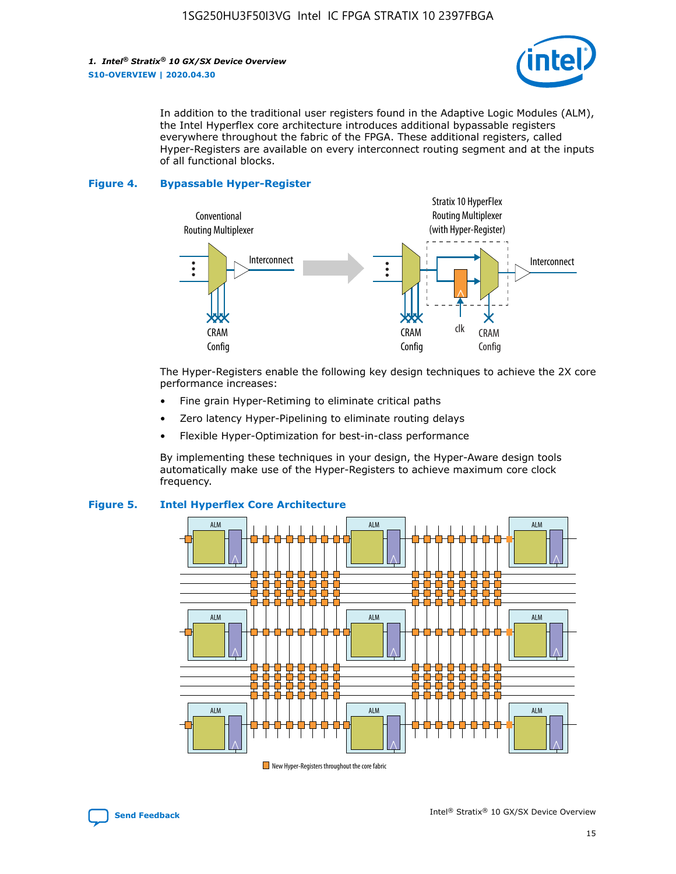

In addition to the traditional user registers found in the Adaptive Logic Modules (ALM), the Intel Hyperflex core architecture introduces additional bypassable registers everywhere throughout the fabric of the FPGA. These additional registers, called Hyper-Registers are available on every interconnect routing segment and at the inputs of all functional blocks.

#### **Figure 4. Bypassable Hyper-Register**



The Hyper-Registers enable the following key design techniques to achieve the 2X core performance increases:

- Fine grain Hyper-Retiming to eliminate critical paths
- Zero latency Hyper-Pipelining to eliminate routing delays
- Flexible Hyper-Optimization for best-in-class performance

By implementing these techniques in your design, the Hyper-Aware design tools automatically make use of the Hyper-Registers to achieve maximum core clock frequency.



## **Figure 5. Intel Hyperflex Core Architecture**

New Hyper-Registers throughout the core fabric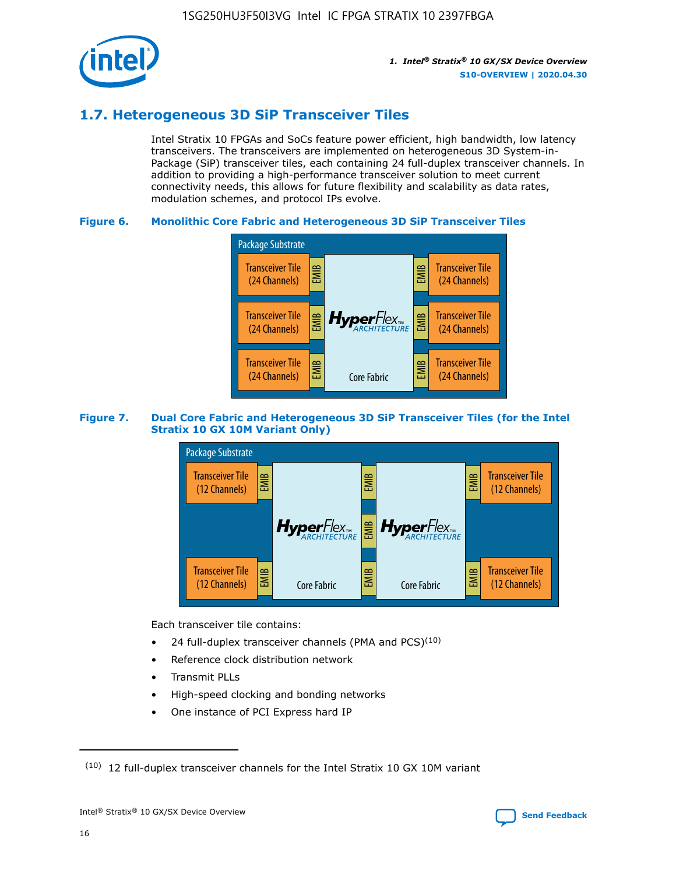

## **1.7. Heterogeneous 3D SiP Transceiver Tiles**

Intel Stratix 10 FPGAs and SoCs feature power efficient, high bandwidth, low latency transceivers. The transceivers are implemented on heterogeneous 3D System-in-Package (SiP) transceiver tiles, each containing 24 full-duplex transceiver channels. In addition to providing a high-performance transceiver solution to meet current connectivity needs, this allows for future flexibility and scalability as data rates, modulation schemes, and protocol IPs evolve.

## **Figure 6. Monolithic Core Fabric and Heterogeneous 3D SiP Transceiver Tiles**



## **Figure 7. Dual Core Fabric and Heterogeneous 3D SiP Transceiver Tiles (for the Intel Stratix 10 GX 10M Variant Only)**



Each transceiver tile contains:

- 24 full-duplex transceiver channels (PMA and PCS) $(10)$
- Reference clock distribution network
- Transmit PLLs
- High-speed clocking and bonding networks
- One instance of PCI Express hard IP

16



 $(10)$  12 full-duplex transceiver channels for the Intel Stratix 10 GX 10M variant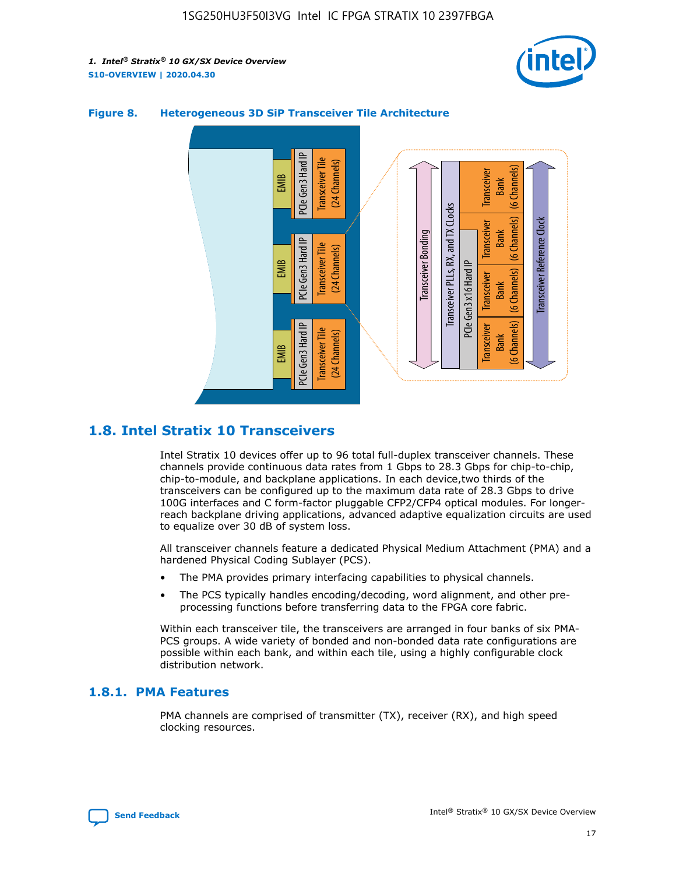



## **Figure 8. Heterogeneous 3D SiP Transceiver Tile Architecture**

## **1.8. Intel Stratix 10 Transceivers**

Intel Stratix 10 devices offer up to 96 total full-duplex transceiver channels. These channels provide continuous data rates from 1 Gbps to 28.3 Gbps for chip-to-chip, chip-to-module, and backplane applications. In each device,two thirds of the transceivers can be configured up to the maximum data rate of 28.3 Gbps to drive 100G interfaces and C form-factor pluggable CFP2/CFP4 optical modules. For longerreach backplane driving applications, advanced adaptive equalization circuits are used to equalize over 30 dB of system loss.

All transceiver channels feature a dedicated Physical Medium Attachment (PMA) and a hardened Physical Coding Sublayer (PCS).

- The PMA provides primary interfacing capabilities to physical channels.
- The PCS typically handles encoding/decoding, word alignment, and other preprocessing functions before transferring data to the FPGA core fabric.

Within each transceiver tile, the transceivers are arranged in four banks of six PMA-PCS groups. A wide variety of bonded and non-bonded data rate configurations are possible within each bank, and within each tile, using a highly configurable clock distribution network.

## **1.8.1. PMA Features**

PMA channels are comprised of transmitter (TX), receiver (RX), and high speed clocking resources.

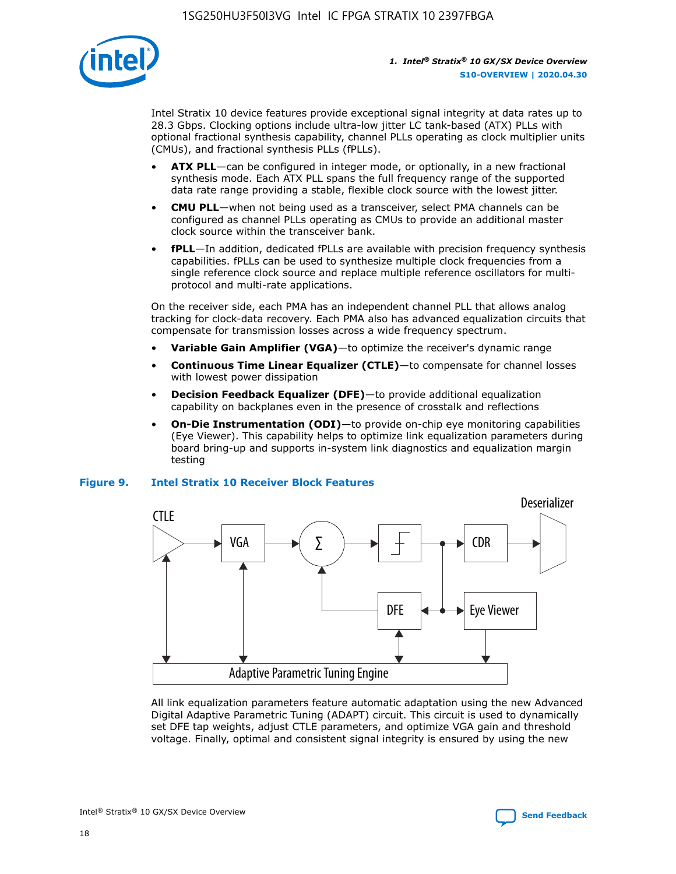

Intel Stratix 10 device features provide exceptional signal integrity at data rates up to 28.3 Gbps. Clocking options include ultra-low jitter LC tank-based (ATX) PLLs with optional fractional synthesis capability, channel PLLs operating as clock multiplier units (CMUs), and fractional synthesis PLLs (fPLLs).

- **ATX PLL**—can be configured in integer mode, or optionally, in a new fractional synthesis mode. Each ATX PLL spans the full frequency range of the supported data rate range providing a stable, flexible clock source with the lowest jitter.
- **CMU PLL**—when not being used as a transceiver, select PMA channels can be configured as channel PLLs operating as CMUs to provide an additional master clock source within the transceiver bank.
- **fPLL**—In addition, dedicated fPLLs are available with precision frequency synthesis capabilities. fPLLs can be used to synthesize multiple clock frequencies from a single reference clock source and replace multiple reference oscillators for multiprotocol and multi-rate applications.

On the receiver side, each PMA has an independent channel PLL that allows analog tracking for clock-data recovery. Each PMA also has advanced equalization circuits that compensate for transmission losses across a wide frequency spectrum.

- **Variable Gain Amplifier (VGA)**—to optimize the receiver's dynamic range
- **Continuous Time Linear Equalizer (CTLE)**—to compensate for channel losses with lowest power dissipation
- **Decision Feedback Equalizer (DFE)**—to provide additional equalization capability on backplanes even in the presence of crosstalk and reflections
- **On-Die Instrumentation (ODI)**—to provide on-chip eye monitoring capabilities (Eye Viewer). This capability helps to optimize link equalization parameters during board bring-up and supports in-system link diagnostics and equalization margin testing

## **Figure 9. Intel Stratix 10 Receiver Block Features**



All link equalization parameters feature automatic adaptation using the new Advanced Digital Adaptive Parametric Tuning (ADAPT) circuit. This circuit is used to dynamically set DFE tap weights, adjust CTLE parameters, and optimize VGA gain and threshold voltage. Finally, optimal and consistent signal integrity is ensured by using the new



Intel<sup>®</sup> Stratix<sup>®</sup> 10 GX/SX Device Overview **[Send Feedback](mailto:FPGAtechdocfeedback@intel.com?subject=Feedback%20on%20Intel%20Stratix%2010%20GX/SX%20Device%20Overview%20(S10-OVERVIEW%202020.04.30)&body=We%20appreciate%20your%20feedback.%20In%20your%20comments,%20also%20specify%20the%20page%20number%20or%20paragraph.%20Thank%20you.)** Send Feedback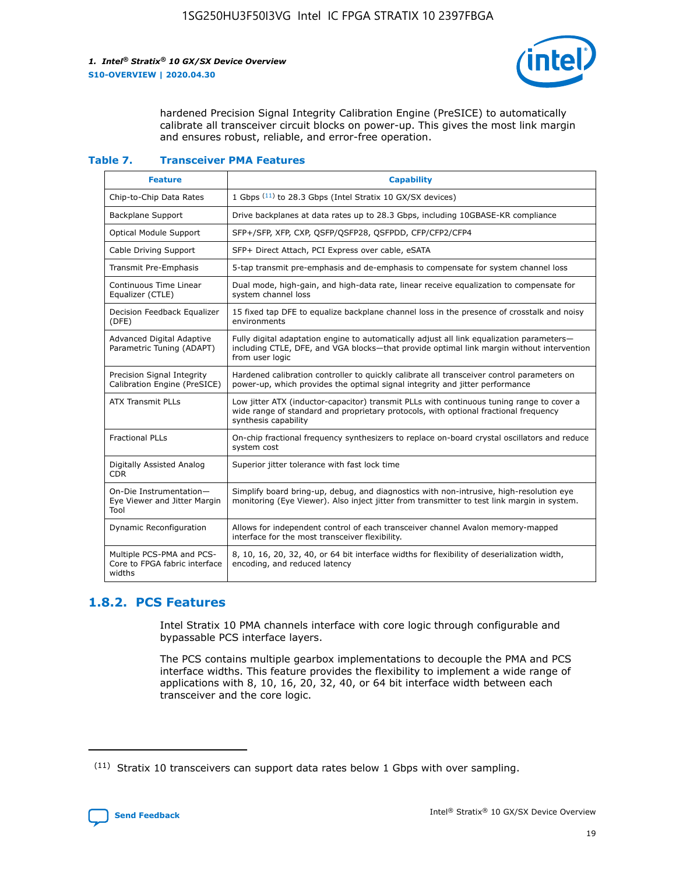

hardened Precision Signal Integrity Calibration Engine (PreSICE) to automatically calibrate all transceiver circuit blocks on power-up. This gives the most link margin and ensures robust, reliable, and error-free operation.

#### **Table 7. Transceiver PMA Features**

| <b>Feature</b>                                                       | <b>Capability</b>                                                                                                                                                                                         |
|----------------------------------------------------------------------|-----------------------------------------------------------------------------------------------------------------------------------------------------------------------------------------------------------|
| Chip-to-Chip Data Rates                                              | 1 Gbps (11) to 28.3 Gbps (Intel Stratix 10 GX/SX devices)                                                                                                                                                 |
| <b>Backplane Support</b>                                             | Drive backplanes at data rates up to 28.3 Gbps, including 10GBASE-KR compliance                                                                                                                           |
| Optical Module Support                                               | SFP+/SFP, XFP, CXP, QSFP/QSFP28, QSFPDD, CFP/CFP2/CFP4                                                                                                                                                    |
| Cable Driving Support                                                | SFP+ Direct Attach, PCI Express over cable, eSATA                                                                                                                                                         |
| <b>Transmit Pre-Emphasis</b>                                         | 5-tap transmit pre-emphasis and de-emphasis to compensate for system channel loss                                                                                                                         |
| Continuous Time Linear<br>Equalizer (CTLE)                           | Dual mode, high-gain, and high-data rate, linear receive equalization to compensate for<br>system channel loss                                                                                            |
| Decision Feedback Equalizer<br>(DFE)                                 | 15 fixed tap DFE to equalize backplane channel loss in the presence of crosstalk and noisy<br>environments                                                                                                |
| Advanced Digital Adaptive<br>Parametric Tuning (ADAPT)               | Fully digital adaptation engine to automatically adjust all link equalization parameters-<br>including CTLE, DFE, and VGA blocks-that provide optimal link margin without intervention<br>from user logic |
| Precision Signal Integrity<br>Calibration Engine (PreSICE)           | Hardened calibration controller to quickly calibrate all transceiver control parameters on<br>power-up, which provides the optimal signal integrity and jitter performance                                |
| <b>ATX Transmit PLLs</b>                                             | Low jitter ATX (inductor-capacitor) transmit PLLs with continuous tuning range to cover a<br>wide range of standard and proprietary protocols, with optional fractional frequency<br>synthesis capability |
| <b>Fractional PLLs</b>                                               | On-chip fractional frequency synthesizers to replace on-board crystal oscillators and reduce<br>system cost                                                                                               |
| Digitally Assisted Analog<br>CDR.                                    | Superior jitter tolerance with fast lock time                                                                                                                                                             |
| On-Die Instrumentation-<br>Eye Viewer and Jitter Margin<br>Tool      | Simplify board bring-up, debug, and diagnostics with non-intrusive, high-resolution eye<br>monitoring (Eye Viewer). Also inject jitter from transmitter to test link margin in system.                    |
| Dynamic Reconfiguration                                              | Allows for independent control of each transceiver channel Avalon memory-mapped<br>interface for the most transceiver flexibility.                                                                        |
| Multiple PCS-PMA and PCS-<br>Core to FPGA fabric interface<br>widths | 8, 10, 16, 20, 32, 40, or 64 bit interface widths for flexibility of deserialization width,<br>encoding, and reduced latency                                                                              |

## **1.8.2. PCS Features**

Intel Stratix 10 PMA channels interface with core logic through configurable and bypassable PCS interface layers.

The PCS contains multiple gearbox implementations to decouple the PMA and PCS interface widths. This feature provides the flexibility to implement a wide range of applications with 8, 10, 16, 20, 32, 40, or 64 bit interface width between each transceiver and the core logic.

<sup>(11)</sup> Stratix 10 transceivers can support data rates below 1 Gbps with over sampling.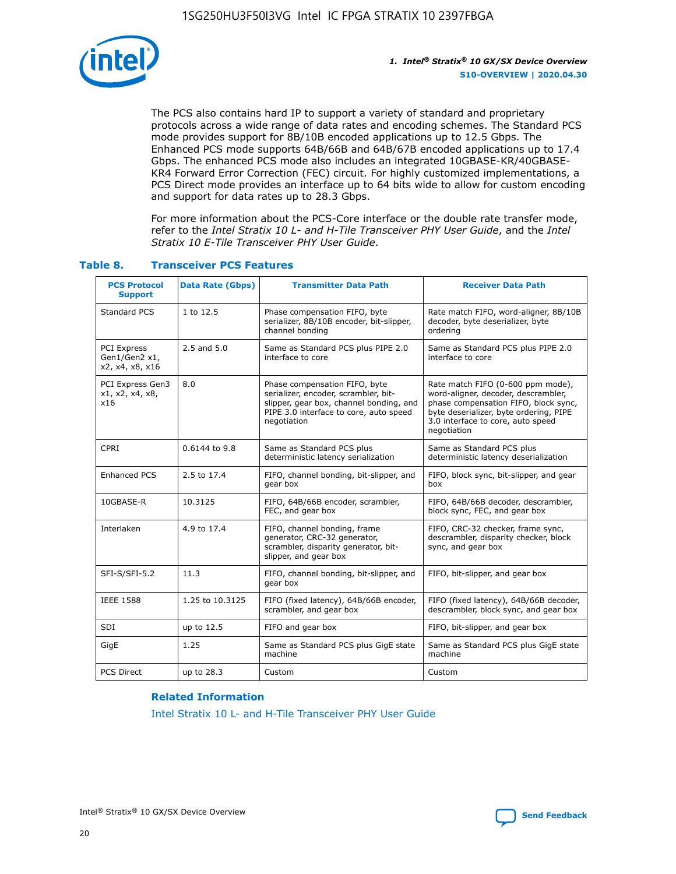

The PCS also contains hard IP to support a variety of standard and proprietary protocols across a wide range of data rates and encoding schemes. The Standard PCS mode provides support for 8B/10B encoded applications up to 12.5 Gbps. The Enhanced PCS mode supports 64B/66B and 64B/67B encoded applications up to 17.4 Gbps. The enhanced PCS mode also includes an integrated 10GBASE-KR/40GBASE-KR4 Forward Error Correction (FEC) circuit. For highly customized implementations, a PCS Direct mode provides an interface up to 64 bits wide to allow for custom encoding and support for data rates up to 28.3 Gbps.

For more information about the PCS-Core interface or the double rate transfer mode, refer to the *Intel Stratix 10 L- and H-Tile Transceiver PHY User Guide*, and the *Intel Stratix 10 E-Tile Transceiver PHY User Guide*.

| <b>PCS Protocol</b><br><b>Support</b>           | <b>Data Rate (Gbps)</b> | <b>Transmitter Data Path</b>                                                                                                                                              | <b>Receiver Data Path</b>                                                                                                                                                                                      |
|-------------------------------------------------|-------------------------|---------------------------------------------------------------------------------------------------------------------------------------------------------------------------|----------------------------------------------------------------------------------------------------------------------------------------------------------------------------------------------------------------|
| Standard PCS                                    | 1 to 12.5               | Phase compensation FIFO, byte<br>serializer, 8B/10B encoder, bit-slipper,<br>channel bonding                                                                              | Rate match FIFO, word-aligner, 8B/10B<br>decoder, byte deserializer, byte<br>ordering                                                                                                                          |
| PCI Express<br>Gen1/Gen2 x1,<br>x2, x4, x8, x16 | $2.5$ and $5.0$         | Same as Standard PCS plus PIPE 2.0<br>interface to core                                                                                                                   | Same as Standard PCS plus PIPE 2.0<br>interface to core                                                                                                                                                        |
| PCI Express Gen3<br>x1, x2, x4, x8,<br>x16      | 8.0                     | Phase compensation FIFO, byte<br>serializer, encoder, scrambler, bit-<br>slipper, gear box, channel bonding, and<br>PIPE 3.0 interface to core, auto speed<br>negotiation | Rate match FIFO (0-600 ppm mode),<br>word-aligner, decoder, descrambler,<br>phase compensation FIFO, block sync,<br>byte deserializer, byte ordering, PIPE<br>3.0 interface to core, auto speed<br>negotiation |
| CPRI                                            | 0.6144 to 9.8           | Same as Standard PCS plus<br>deterministic latency serialization                                                                                                          | Same as Standard PCS plus<br>deterministic latency deserialization                                                                                                                                             |
| <b>Enhanced PCS</b>                             | 2.5 to 17.4             | FIFO, channel bonding, bit-slipper, and<br>gear box                                                                                                                       | FIFO, block sync, bit-slipper, and gear<br>box                                                                                                                                                                 |
| 10GBASE-R                                       | 10.3125                 | FIFO, 64B/66B encoder, scrambler,<br>FEC, and gear box                                                                                                                    | FIFO, 64B/66B decoder, descrambler,<br>block sync, FEC, and gear box                                                                                                                                           |
| Interlaken                                      | 4.9 to 17.4             | FIFO, channel bonding, frame<br>generator, CRC-32 generator,<br>scrambler, disparity generator, bit-<br>slipper, and gear box                                             | FIFO, CRC-32 checker, frame sync,<br>descrambler, disparity checker, block<br>sync, and gear box                                                                                                               |
| SFI-S/SFI-5.2                                   | 11.3                    | FIFO, channel bonding, bit-slipper, and<br>gear box                                                                                                                       | FIFO, bit-slipper, and gear box                                                                                                                                                                                |
| <b>IEEE 1588</b>                                | 1.25 to 10.3125         | FIFO (fixed latency), 64B/66B encoder,<br>scrambler, and gear box                                                                                                         | FIFO (fixed latency), 64B/66B decoder,<br>descrambler, block sync, and gear box                                                                                                                                |
| SDI                                             | up to 12.5              | FIFO and gear box                                                                                                                                                         | FIFO, bit-slipper, and gear box                                                                                                                                                                                |
| GigE                                            | 1.25                    | Same as Standard PCS plus GigE state<br>machine                                                                                                                           | Same as Standard PCS plus GigE state<br>machine                                                                                                                                                                |
| <b>PCS Direct</b>                               | up to 28.3              | Custom                                                                                                                                                                    | Custom                                                                                                                                                                                                         |

## **Table 8. Transceiver PCS Features**

#### **Related Information**

[Intel Stratix 10 L- and H-Tile Transceiver PHY User Guide](https://www.altera.com/documentation/wry1479165198810.html)

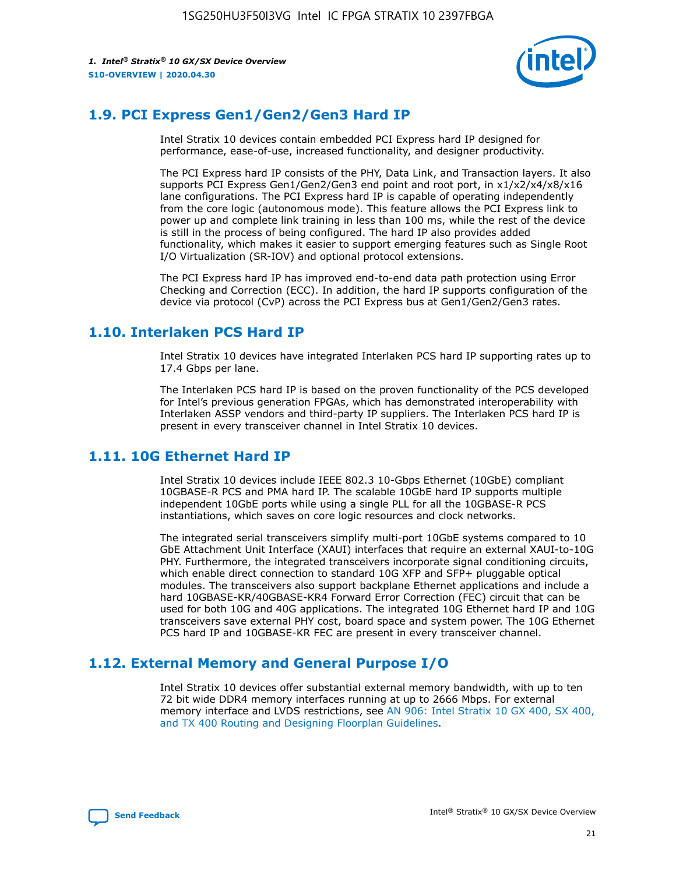

## **1.9. PCI Express Gen1/Gen2/Gen3 Hard IP**

Intel Stratix 10 devices contain embedded PCI Express hard IP designed for performance, ease-of-use, increased functionality, and designer productivity.

The PCI Express hard IP consists of the PHY, Data Link, and Transaction layers. It also supports PCI Express Gen1/Gen2/Gen3 end point and root port, in x1/x2/x4/x8/x16 lane configurations. The PCI Express hard IP is capable of operating independently from the core logic (autonomous mode). This feature allows the PCI Express link to power up and complete link training in less than 100 ms, while the rest of the device is still in the process of being configured. The hard IP also provides added functionality, which makes it easier to support emerging features such as Single Root I/O Virtualization (SR-IOV) and optional protocol extensions.

The PCI Express hard IP has improved end-to-end data path protection using Error Checking and Correction (ECC). In addition, the hard IP supports configuration of the device via protocol (CvP) across the PCI Express bus at Gen1/Gen2/Gen3 rates.

## **1.10. Interlaken PCS Hard IP**

Intel Stratix 10 devices have integrated Interlaken PCS hard IP supporting rates up to 17.4 Gbps per lane.

The Interlaken PCS hard IP is based on the proven functionality of the PCS developed for Intel's previous generation FPGAs, which has demonstrated interoperability with Interlaken ASSP vendors and third-party IP suppliers. The Interlaken PCS hard IP is present in every transceiver channel in Intel Stratix 10 devices.

## **1.11. 10G Ethernet Hard IP**

Intel Stratix 10 devices include IEEE 802.3 10-Gbps Ethernet (10GbE) compliant 10GBASE-R PCS and PMA hard IP. The scalable 10GbE hard IP supports multiple independent 10GbE ports while using a single PLL for all the 10GBASE-R PCS instantiations, which saves on core logic resources and clock networks.

The integrated serial transceivers simplify multi-port 10GbE systems compared to 10 GbE Attachment Unit Interface (XAUI) interfaces that require an external XAUI-to-10G PHY. Furthermore, the integrated transceivers incorporate signal conditioning circuits, which enable direct connection to standard 10G XFP and SFP+ pluggable optical modules. The transceivers also support backplane Ethernet applications and include a hard 10GBASE-KR/40GBASE-KR4 Forward Error Correction (FEC) circuit that can be used for both 10G and 40G applications. The integrated 10G Ethernet hard IP and 10G transceivers save external PHY cost, board space and system power. The 10G Ethernet PCS hard IP and 10GBASE-KR FEC are present in every transceiver channel.

## **1.12. External Memory and General Purpose I/O**

Intel Stratix 10 devices offer substantial external memory bandwidth, with up to ten 72 bit wide DDR4 memory interfaces running at up to 2666 Mbps. For external memory interface and LVDS restrictions, see [AN 906: Intel Stratix 10 GX 400, SX 400,](https://www.intel.com/content/www/us/en/programmable/documentation/sjf1574667190623.html#bft1574667627484) [and TX 400 Routing and Designing Floorplan Guidelines.](https://www.intel.com/content/www/us/en/programmable/documentation/sjf1574667190623.html#bft1574667627484)

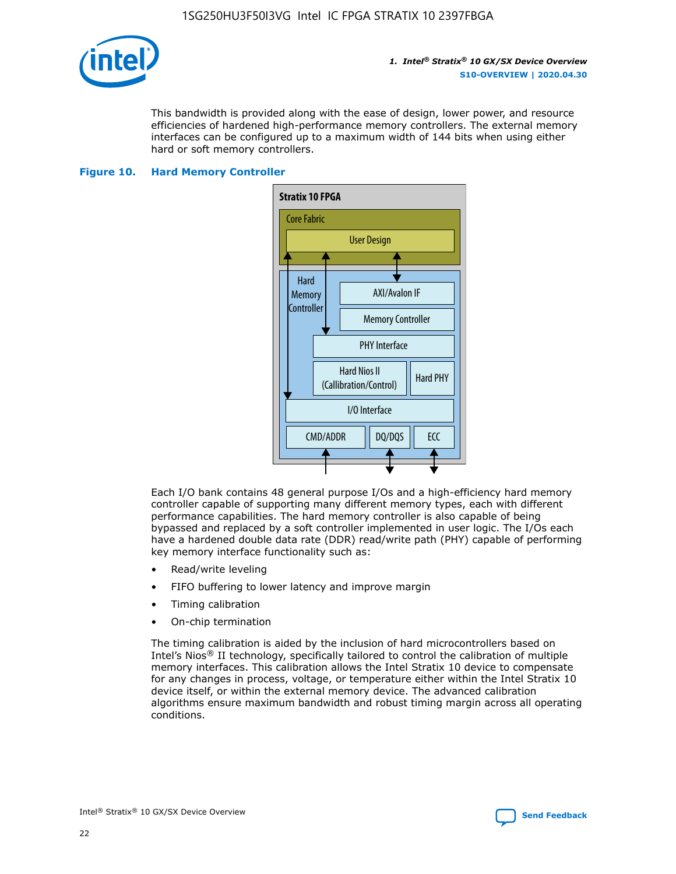

This bandwidth is provided along with the ease of design, lower power, and resource efficiencies of hardened high-performance memory controllers. The external memory interfaces can be configured up to a maximum width of 144 bits when using either hard or soft memory controllers.

## **Figure 10. Hard Memory Controller**



Each I/O bank contains 48 general purpose I/Os and a high-efficiency hard memory controller capable of supporting many different memory types, each with different performance capabilities. The hard memory controller is also capable of being bypassed and replaced by a soft controller implemented in user logic. The I/Os each have a hardened double data rate (DDR) read/write path (PHY) capable of performing key memory interface functionality such as:

- Read/write leveling
- FIFO buffering to lower latency and improve margin
- Timing calibration
- On-chip termination

The timing calibration is aided by the inclusion of hard microcontrollers based on Intel's Nios® II technology, specifically tailored to control the calibration of multiple memory interfaces. This calibration allows the Intel Stratix 10 device to compensate for any changes in process, voltage, or temperature either within the Intel Stratix 10 device itself, or within the external memory device. The advanced calibration algorithms ensure maximum bandwidth and robust timing margin across all operating conditions.

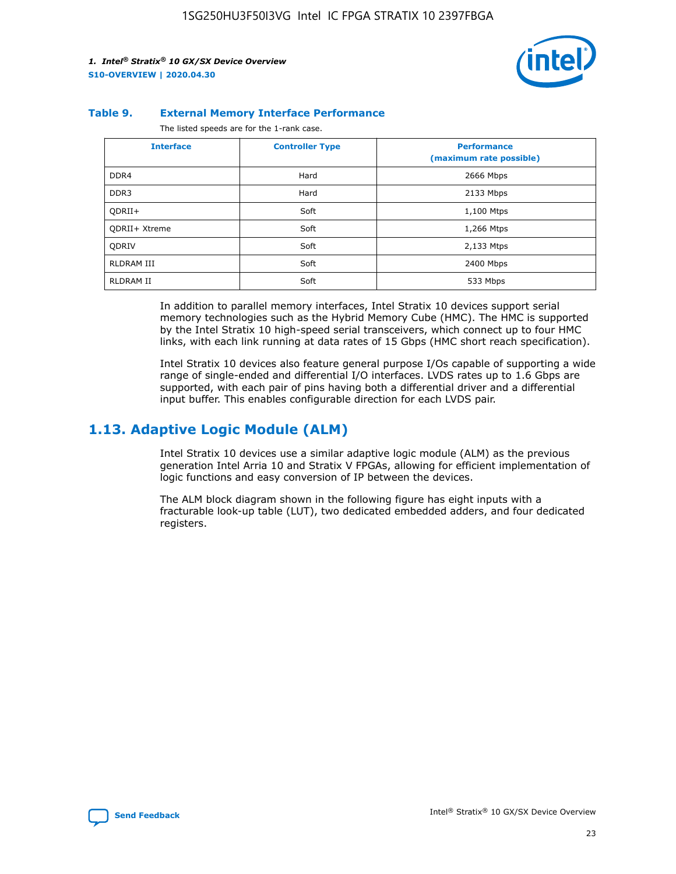

#### **Table 9. External Memory Interface Performance**

The listed speeds are for the 1-rank case.

| <b>Interface</b> | <b>Controller Type</b> | <b>Performance</b><br>(maximum rate possible) |
|------------------|------------------------|-----------------------------------------------|
| DDR4             | Hard                   | 2666 Mbps                                     |
| DDR <sub>3</sub> | Hard                   | 2133 Mbps                                     |
| QDRII+           | Soft                   | 1,100 Mtps                                    |
| QDRII+ Xtreme    | Soft                   | 1,266 Mtps                                    |
| <b>ODRIV</b>     | Soft                   | 2,133 Mtps                                    |
| RLDRAM III       | Soft                   | 2400 Mbps                                     |
| <b>RLDRAM II</b> | Soft                   | 533 Mbps                                      |

In addition to parallel memory interfaces, Intel Stratix 10 devices support serial memory technologies such as the Hybrid Memory Cube (HMC). The HMC is supported by the Intel Stratix 10 high-speed serial transceivers, which connect up to four HMC links, with each link running at data rates of 15 Gbps (HMC short reach specification).

Intel Stratix 10 devices also feature general purpose I/Os capable of supporting a wide range of single-ended and differential I/O interfaces. LVDS rates up to 1.6 Gbps are supported, with each pair of pins having both a differential driver and a differential input buffer. This enables configurable direction for each LVDS pair.

## **1.13. Adaptive Logic Module (ALM)**

Intel Stratix 10 devices use a similar adaptive logic module (ALM) as the previous generation Intel Arria 10 and Stratix V FPGAs, allowing for efficient implementation of logic functions and easy conversion of IP between the devices.

The ALM block diagram shown in the following figure has eight inputs with a fracturable look-up table (LUT), two dedicated embedded adders, and four dedicated registers.

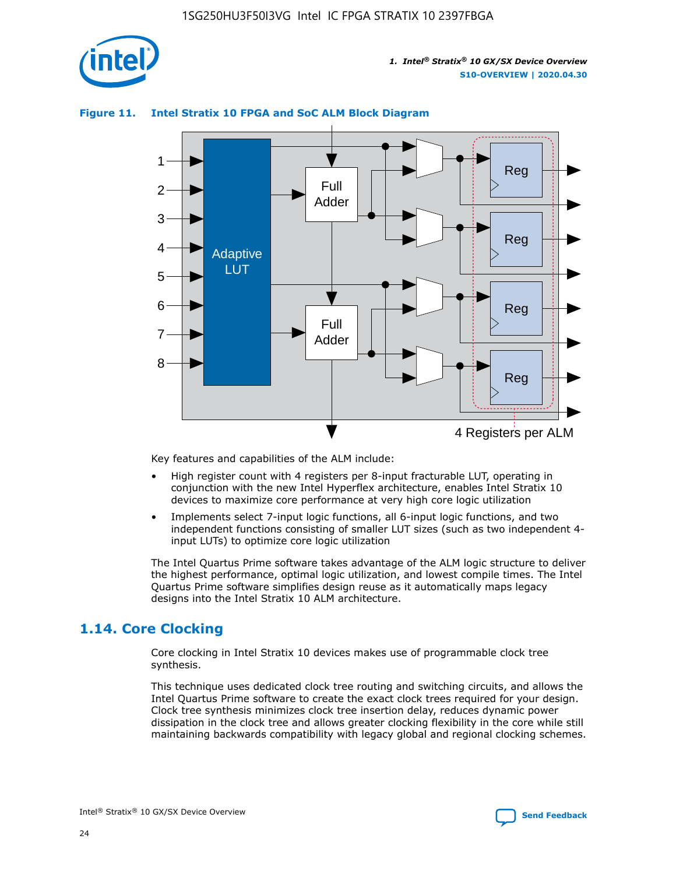

## **Figure 11. Intel Stratix 10 FPGA and SoC ALM Block Diagram**



Key features and capabilities of the ALM include:

- High register count with 4 registers per 8-input fracturable LUT, operating in conjunction with the new Intel Hyperflex architecture, enables Intel Stratix 10 devices to maximize core performance at very high core logic utilization
- Implements select 7-input logic functions, all 6-input logic functions, and two independent functions consisting of smaller LUT sizes (such as two independent 4 input LUTs) to optimize core logic utilization

The Intel Quartus Prime software takes advantage of the ALM logic structure to deliver the highest performance, optimal logic utilization, and lowest compile times. The Intel Quartus Prime software simplifies design reuse as it automatically maps legacy designs into the Intel Stratix 10 ALM architecture.

## **1.14. Core Clocking**

Core clocking in Intel Stratix 10 devices makes use of programmable clock tree synthesis.

This technique uses dedicated clock tree routing and switching circuits, and allows the Intel Quartus Prime software to create the exact clock trees required for your design. Clock tree synthesis minimizes clock tree insertion delay, reduces dynamic power dissipation in the clock tree and allows greater clocking flexibility in the core while still maintaining backwards compatibility with legacy global and regional clocking schemes.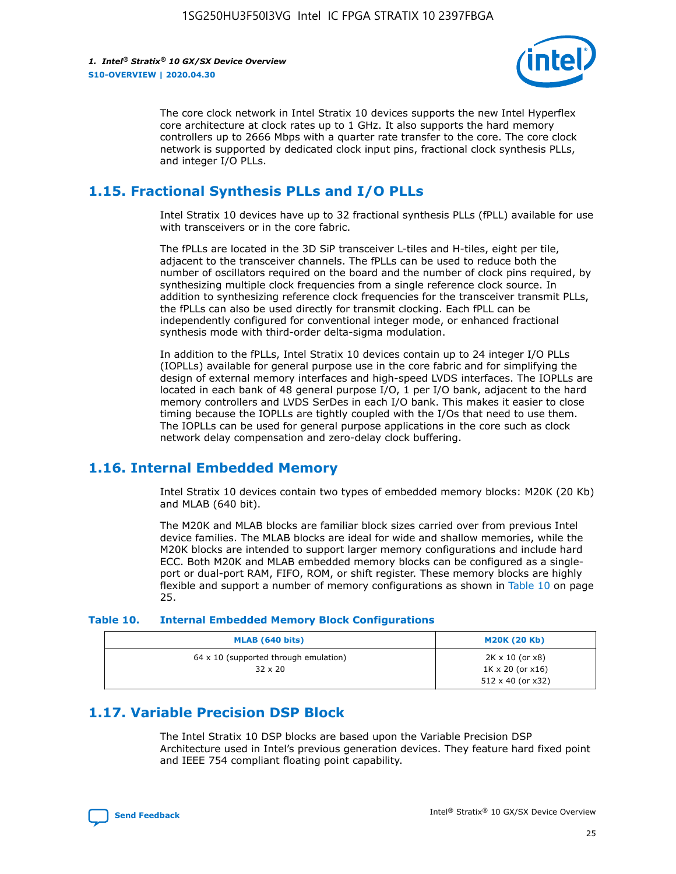

The core clock network in Intel Stratix 10 devices supports the new Intel Hyperflex core architecture at clock rates up to 1 GHz. It also supports the hard memory controllers up to 2666 Mbps with a quarter rate transfer to the core. The core clock network is supported by dedicated clock input pins, fractional clock synthesis PLLs, and integer I/O PLLs.

## **1.15. Fractional Synthesis PLLs and I/O PLLs**

Intel Stratix 10 devices have up to 32 fractional synthesis PLLs (fPLL) available for use with transceivers or in the core fabric.

The fPLLs are located in the 3D SiP transceiver L-tiles and H-tiles, eight per tile, adjacent to the transceiver channels. The fPLLs can be used to reduce both the number of oscillators required on the board and the number of clock pins required, by synthesizing multiple clock frequencies from a single reference clock source. In addition to synthesizing reference clock frequencies for the transceiver transmit PLLs, the fPLLs can also be used directly for transmit clocking. Each fPLL can be independently configured for conventional integer mode, or enhanced fractional synthesis mode with third-order delta-sigma modulation.

In addition to the fPLLs, Intel Stratix 10 devices contain up to 24 integer I/O PLLs (IOPLLs) available for general purpose use in the core fabric and for simplifying the design of external memory interfaces and high-speed LVDS interfaces. The IOPLLs are located in each bank of 48 general purpose I/O, 1 per I/O bank, adjacent to the hard memory controllers and LVDS SerDes in each I/O bank. This makes it easier to close timing because the IOPLLs are tightly coupled with the I/Os that need to use them. The IOPLLs can be used for general purpose applications in the core such as clock network delay compensation and zero-delay clock buffering.

## **1.16. Internal Embedded Memory**

Intel Stratix 10 devices contain two types of embedded memory blocks: M20K (20 Kb) and MLAB (640 bit).

The M20K and MLAB blocks are familiar block sizes carried over from previous Intel device families. The MLAB blocks are ideal for wide and shallow memories, while the M20K blocks are intended to support larger memory configurations and include hard ECC. Both M20K and MLAB embedded memory blocks can be configured as a singleport or dual-port RAM, FIFO, ROM, or shift register. These memory blocks are highly flexible and support a number of memory configurations as shown in Table 10 on page 25.

#### **Table 10. Internal Embedded Memory Block Configurations**

| MLAB (640 bits)                                                | <b>M20K (20 Kb)</b>                                                                    |
|----------------------------------------------------------------|----------------------------------------------------------------------------------------|
| $64 \times 10$ (supported through emulation)<br>$32 \times 20$ | $2K \times 10$ (or $x8$ )<br>$1K \times 20$ (or $x16$ )<br>$512 \times 40$ (or $x32$ ) |

## **1.17. Variable Precision DSP Block**

The Intel Stratix 10 DSP blocks are based upon the Variable Precision DSP Architecture used in Intel's previous generation devices. They feature hard fixed point and IEEE 754 compliant floating point capability.

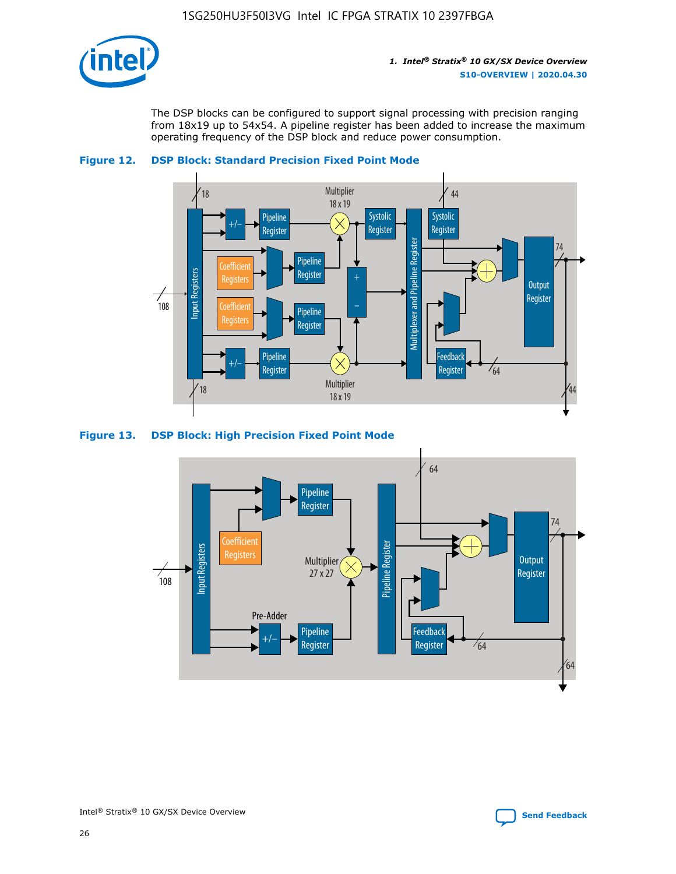

The DSP blocks can be configured to support signal processing with precision ranging from 18x19 up to 54x54. A pipeline register has been added to increase the maximum operating frequency of the DSP block and reduce power consumption.





#### **Figure 13. DSP Block: High Precision Fixed Point Mode**

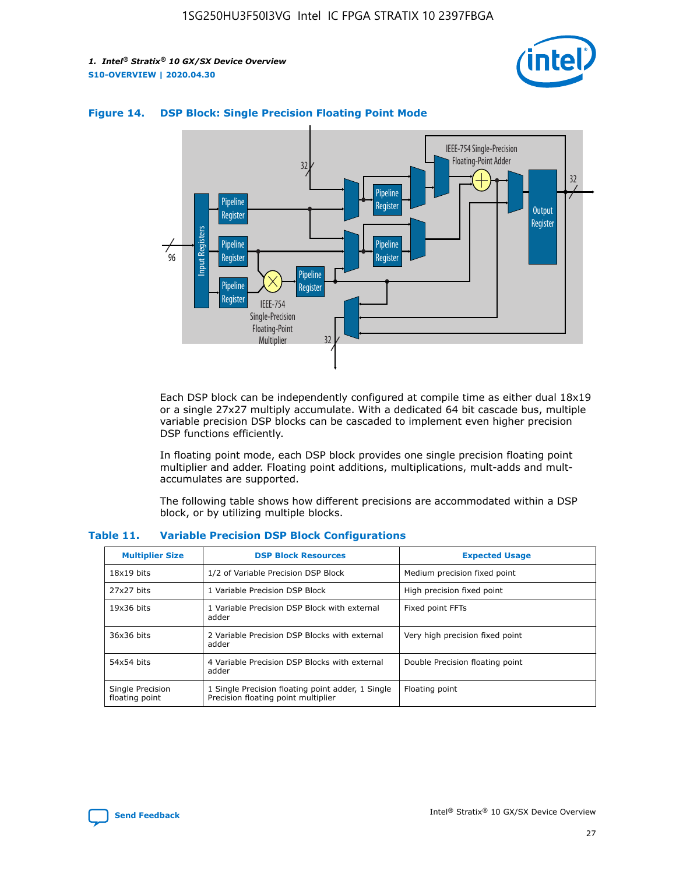



## **Figure 14. DSP Block: Single Precision Floating Point Mode**

Each DSP block can be independently configured at compile time as either dual 18x19 or a single 27x27 multiply accumulate. With a dedicated 64 bit cascade bus, multiple variable precision DSP blocks can be cascaded to implement even higher precision DSP functions efficiently.

In floating point mode, each DSP block provides one single precision floating point multiplier and adder. Floating point additions, multiplications, mult-adds and multaccumulates are supported.

The following table shows how different precisions are accommodated within a DSP block, or by utilizing multiple blocks.

| <b>Multiplier Size</b>             | <b>DSP Block Resources</b>                                                               | <b>Expected Usage</b>           |
|------------------------------------|------------------------------------------------------------------------------------------|---------------------------------|
| $18x19$ bits                       | 1/2 of Variable Precision DSP Block                                                      | Medium precision fixed point    |
| 27x27 bits                         | 1 Variable Precision DSP Block                                                           | High precision fixed point      |
| $19x36$ bits                       | 1 Variable Precision DSP Block with external<br>adder                                    | Fixed point FFTs                |
| 36x36 bits                         | 2 Variable Precision DSP Blocks with external<br>adder                                   | Very high precision fixed point |
| 54x54 bits                         | 4 Variable Precision DSP Blocks with external<br>adder                                   | Double Precision floating point |
| Single Precision<br>floating point | 1 Single Precision floating point adder, 1 Single<br>Precision floating point multiplier | Floating point                  |

#### **Table 11. Variable Precision DSP Block Configurations**

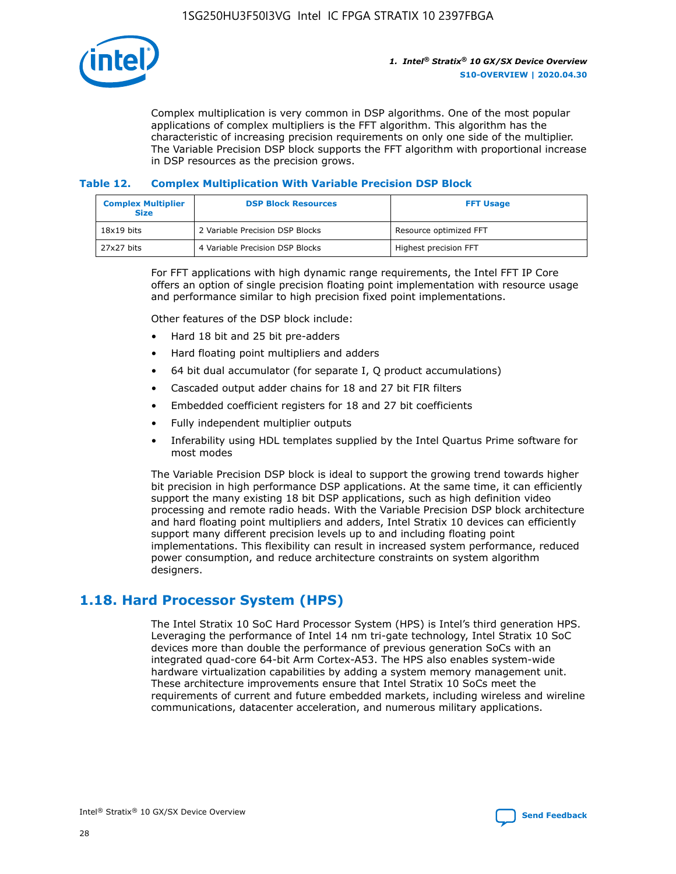

Complex multiplication is very common in DSP algorithms. One of the most popular applications of complex multipliers is the FFT algorithm. This algorithm has the characteristic of increasing precision requirements on only one side of the multiplier. The Variable Precision DSP block supports the FFT algorithm with proportional increase in DSP resources as the precision grows.

## **Table 12. Complex Multiplication With Variable Precision DSP Block**

| <b>Complex Multiplier</b><br><b>Size</b> | <b>DSP Block Resources</b>      | <b>FFT Usage</b>       |
|------------------------------------------|---------------------------------|------------------------|
| $18x19$ bits                             | 2 Variable Precision DSP Blocks | Resource optimized FFT |
| $27x27$ bits                             | 4 Variable Precision DSP Blocks | Highest precision FFT  |

For FFT applications with high dynamic range requirements, the Intel FFT IP Core offers an option of single precision floating point implementation with resource usage and performance similar to high precision fixed point implementations.

Other features of the DSP block include:

- Hard 18 bit and 25 bit pre-adders
- Hard floating point multipliers and adders
- 64 bit dual accumulator (for separate I, Q product accumulations)
- Cascaded output adder chains for 18 and 27 bit FIR filters
- Embedded coefficient registers for 18 and 27 bit coefficients
- Fully independent multiplier outputs
- Inferability using HDL templates supplied by the Intel Quartus Prime software for most modes

The Variable Precision DSP block is ideal to support the growing trend towards higher bit precision in high performance DSP applications. At the same time, it can efficiently support the many existing 18 bit DSP applications, such as high definition video processing and remote radio heads. With the Variable Precision DSP block architecture and hard floating point multipliers and adders, Intel Stratix 10 devices can efficiently support many different precision levels up to and including floating point implementations. This flexibility can result in increased system performance, reduced power consumption, and reduce architecture constraints on system algorithm designers.

## **1.18. Hard Processor System (HPS)**

The Intel Stratix 10 SoC Hard Processor System (HPS) is Intel's third generation HPS. Leveraging the performance of Intel 14 nm tri-gate technology, Intel Stratix 10 SoC devices more than double the performance of previous generation SoCs with an integrated quad-core 64-bit Arm Cortex-A53. The HPS also enables system-wide hardware virtualization capabilities by adding a system memory management unit. These architecture improvements ensure that Intel Stratix 10 SoCs meet the requirements of current and future embedded markets, including wireless and wireline communications, datacenter acceleration, and numerous military applications.

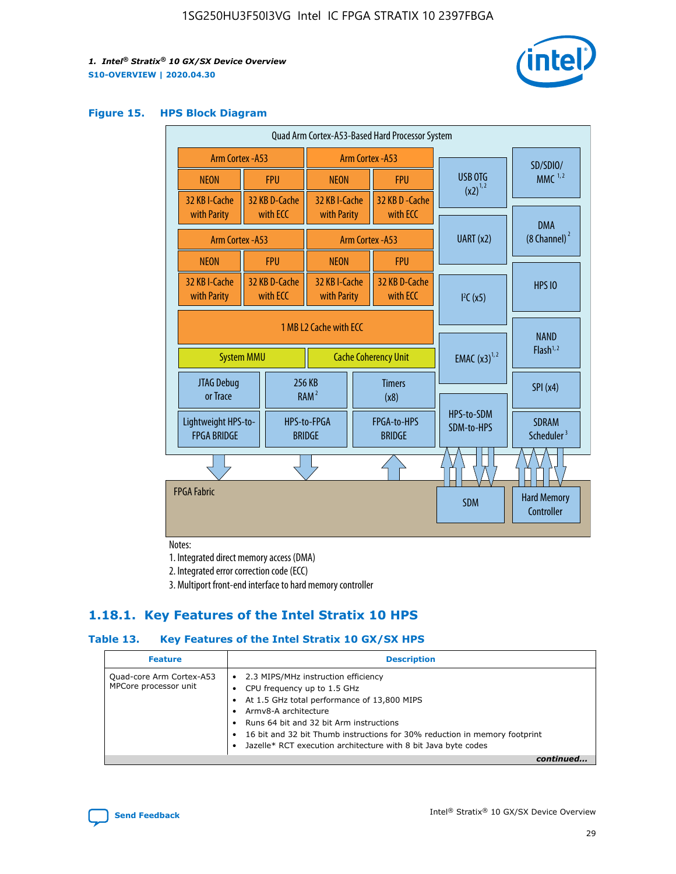

#### **Figure 15. HPS Block Diagram**

| Quad Arm Cortex-A53-Based Hard Processor System                            |  |                           |                              |                          |                                     |                          |                                        |
|----------------------------------------------------------------------------|--|---------------------------|------------------------------|--------------------------|-------------------------------------|--------------------------|----------------------------------------|
| <b>Arm Cortex - A53</b>                                                    |  | Arm Cortex - A53          |                              |                          |                                     |                          | SD/SDIO/                               |
| <b>NEON</b>                                                                |  | <b>FPU</b>                | <b>NEON</b>                  |                          | <b>FPU</b>                          | USB OTG                  | MMC $1,2$                              |
| 32 KB I-Cache<br>with Parity                                               |  | 32 KB D-Cache<br>with ECC | 32 KB I-Cache<br>with Parity |                          | 32 KB D - Cache<br>with ECC         | $(x2)^{1,2}$             |                                        |
| Arm Cortex - A53                                                           |  |                           |                              |                          | Arm Cortex - A53                    | UART (x2)                | <b>DMA</b><br>$(8 \text{ Channel})^2$  |
| <b>NEON</b>                                                                |  | <b>FPU</b>                | <b>NEON</b>                  |                          | <b>FPU</b>                          |                          |                                        |
| 32 KB I-Cache<br>with Parity                                               |  | 32 KB D-Cache<br>with ECC | 32 KB I-Cache<br>with Parity |                          | 32 KB D-Cache<br>with ECC           | I <sup>2</sup> C(x5)     | <b>HPS 10</b>                          |
| 1 MB L2 Cache with ECC<br><b>Cache Coherency Unit</b><br><b>System MMU</b> |  |                           |                              | <b>EMAC</b> $(x3)^{1,2}$ | <b>NAND</b><br>Flash <sup>1,2</sup> |                          |                                        |
| JTAG Debug<br>or Trace                                                     |  | 256 KB                    | RAM <sup>2</sup><br>(x8)     |                          | <b>Timers</b>                       |                          | SPI(x4)                                |
| Lightweight HPS-to-<br><b>FPGA BRIDGE</b>                                  |  |                           | HPS-to-FPGA<br><b>BRIDGE</b> |                          | FPGA-to-HPS<br><b>BRIDGE</b>        | HPS-to-SDM<br>SDM-to-HPS | <b>SDRAM</b><br>Scheduler <sup>3</sup> |
|                                                                            |  |                           |                              |                          |                                     |                          |                                        |
| <b>FPGA Fabric</b>                                                         |  |                           |                              |                          |                                     | <b>SDM</b>               | <b>Hard Memory</b><br>Controller       |

Notes:

1. Integrated direct memory access (DMA)

2. Integrated error correction code (ECC)

3. Multiport front-end interface to hard memory controller

## **1.18.1. Key Features of the Intel Stratix 10 HPS**

## **Table 13. Key Features of the Intel Stratix 10 GX/SX HPS**

| <b>Feature</b>                                    | <b>Description</b>                                                                                                                                                                                                                                                                                                                                     |
|---------------------------------------------------|--------------------------------------------------------------------------------------------------------------------------------------------------------------------------------------------------------------------------------------------------------------------------------------------------------------------------------------------------------|
| Quad-core Arm Cortex-A53<br>MPCore processor unit | 2.3 MIPS/MHz instruction efficiency<br>$\bullet$<br>CPU frequency up to 1.5 GHz<br>٠<br>At 1.5 GHz total performance of 13,800 MIPS<br>Army8-A architecture<br>Runs 64 bit and 32 bit Arm instructions<br>16 bit and 32 bit Thumb instructions for 30% reduction in memory footprint<br>Jazelle* RCT execution architecture with 8 bit Java byte codes |
|                                                   |                                                                                                                                                                                                                                                                                                                                                        |

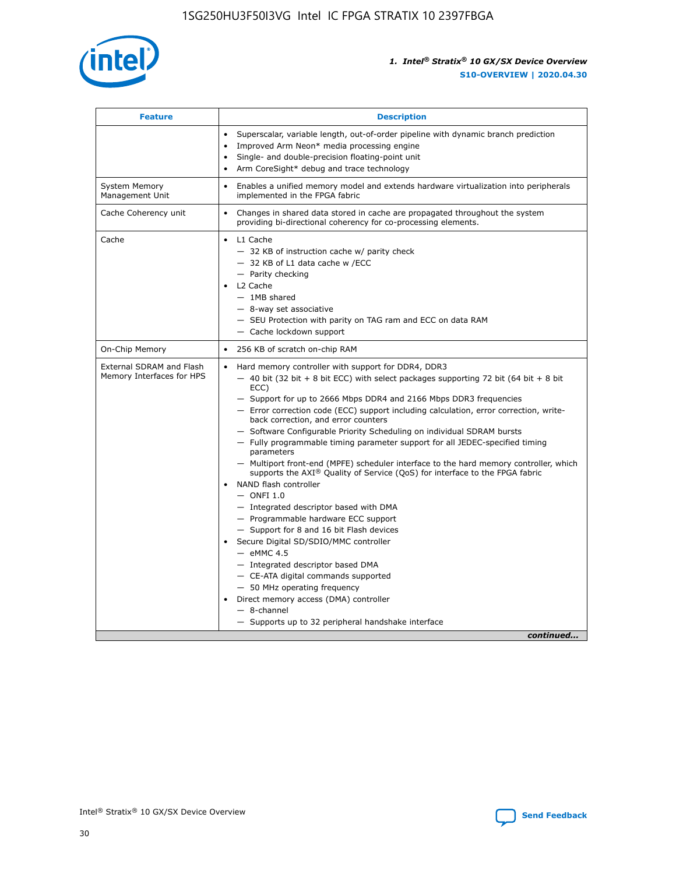

| <b>Feature</b>                                        | <b>Description</b>                                                                                                                                                                                                                                                                                                                                                                                                                                                                                                                                                                                                                                                                                                                                                                                                                                                                                                                                                                                                                                                                                                                                                                                                       |  |
|-------------------------------------------------------|--------------------------------------------------------------------------------------------------------------------------------------------------------------------------------------------------------------------------------------------------------------------------------------------------------------------------------------------------------------------------------------------------------------------------------------------------------------------------------------------------------------------------------------------------------------------------------------------------------------------------------------------------------------------------------------------------------------------------------------------------------------------------------------------------------------------------------------------------------------------------------------------------------------------------------------------------------------------------------------------------------------------------------------------------------------------------------------------------------------------------------------------------------------------------------------------------------------------------|--|
|                                                       | Superscalar, variable length, out-of-order pipeline with dynamic branch prediction<br>Improved Arm Neon* media processing engine<br>$\bullet$<br>Single- and double-precision floating-point unit<br>Arm CoreSight* debug and trace technology<br>$\bullet$                                                                                                                                                                                                                                                                                                                                                                                                                                                                                                                                                                                                                                                                                                                                                                                                                                                                                                                                                              |  |
| <b>System Memory</b><br>Management Unit               | Enables a unified memory model and extends hardware virtualization into peripherals<br>implemented in the FPGA fabric                                                                                                                                                                                                                                                                                                                                                                                                                                                                                                                                                                                                                                                                                                                                                                                                                                                                                                                                                                                                                                                                                                    |  |
| Cache Coherency unit                                  | Changes in shared data stored in cache are propagated throughout the system<br>$\bullet$<br>providing bi-directional coherency for co-processing elements.                                                                                                                                                                                                                                                                                                                                                                                                                                                                                                                                                                                                                                                                                                                                                                                                                                                                                                                                                                                                                                                               |  |
| Cache                                                 | L1 Cache<br>$\bullet$<br>- 32 KB of instruction cache w/ parity check<br>- 32 KB of L1 data cache w /ECC<br>- Parity checking<br>L <sub>2</sub> Cache<br>- 1MB shared<br>- 8-way set associative<br>- SEU Protection with parity on TAG ram and ECC on data RAM<br>- Cache lockdown support                                                                                                                                                                                                                                                                                                                                                                                                                                                                                                                                                                                                                                                                                                                                                                                                                                                                                                                              |  |
| On-Chip Memory                                        | 256 KB of scratch on-chip RAM                                                                                                                                                                                                                                                                                                                                                                                                                                                                                                                                                                                                                                                                                                                                                                                                                                                                                                                                                                                                                                                                                                                                                                                            |  |
| External SDRAM and Flash<br>Memory Interfaces for HPS | Hard memory controller with support for DDR4, DDR3<br>$\bullet$<br>$-$ 40 bit (32 bit + 8 bit ECC) with select packages supporting 72 bit (64 bit + 8 bit<br>ECC)<br>- Support for up to 2666 Mbps DDR4 and 2166 Mbps DDR3 frequencies<br>- Error correction code (ECC) support including calculation, error correction, write-<br>back correction, and error counters<br>- Software Configurable Priority Scheduling on individual SDRAM bursts<br>- Fully programmable timing parameter support for all JEDEC-specified timing<br>parameters<br>- Multiport front-end (MPFE) scheduler interface to the hard memory controller, which<br>supports the $AXI^{\circledR}$ Quality of Service (QoS) for interface to the FPGA fabric<br>NAND flash controller<br>$-$ ONFI 1.0<br>- Integrated descriptor based with DMA<br>- Programmable hardware ECC support<br>- Support for 8 and 16 bit Flash devices<br>Secure Digital SD/SDIO/MMC controller<br>$-$ eMMC 4.5<br>- Integrated descriptor based DMA<br>- CE-ATA digital commands supported<br>- 50 MHz operating frequency<br>Direct memory access (DMA) controller<br>$\bullet$<br>$-$ 8-channel<br>- Supports up to 32 peripheral handshake interface<br>continued |  |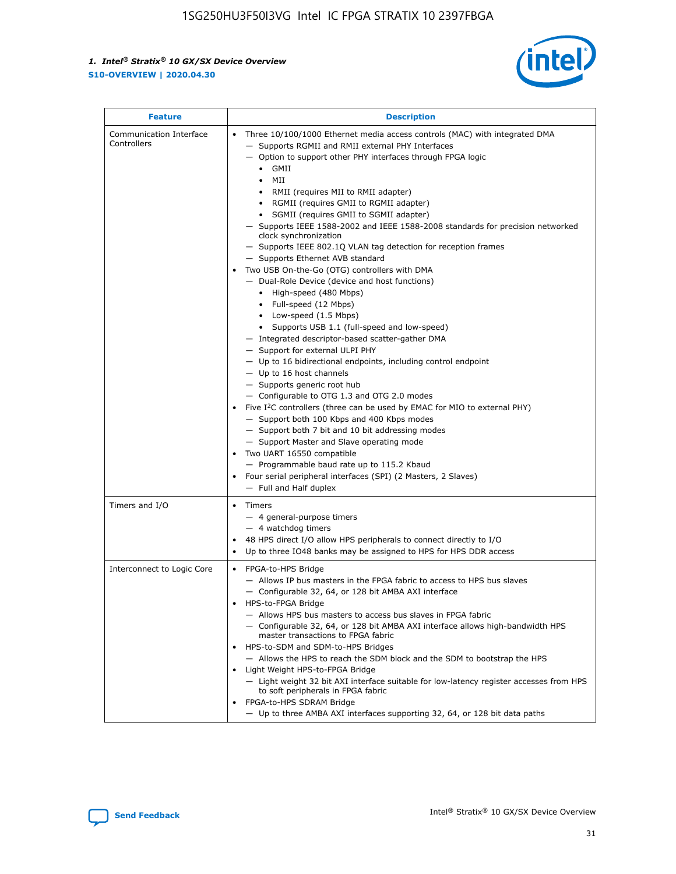

| <b>Feature</b>                         | <b>Description</b>                                                                                                                                                                                                                                                                                                                                                                                                                                                                                                                                                                                                                                                                                                                                                                                                                                                                                                                                                                                                                                                                                                                                                                                                                                                                                                                                                                                                                                                                                                  |  |
|----------------------------------------|---------------------------------------------------------------------------------------------------------------------------------------------------------------------------------------------------------------------------------------------------------------------------------------------------------------------------------------------------------------------------------------------------------------------------------------------------------------------------------------------------------------------------------------------------------------------------------------------------------------------------------------------------------------------------------------------------------------------------------------------------------------------------------------------------------------------------------------------------------------------------------------------------------------------------------------------------------------------------------------------------------------------------------------------------------------------------------------------------------------------------------------------------------------------------------------------------------------------------------------------------------------------------------------------------------------------------------------------------------------------------------------------------------------------------------------------------------------------------------------------------------------------|--|
| Communication Interface<br>Controllers | Three 10/100/1000 Ethernet media access controls (MAC) with integrated DMA<br>$\bullet$<br>- Supports RGMII and RMII external PHY Interfaces<br>- Option to support other PHY interfaces through FPGA logic<br>GMII<br>$\bullet$<br>MII<br>$\bullet$<br>• RMII (requires MII to RMII adapter)<br>• RGMII (requires GMII to RGMII adapter)<br>• SGMII (requires GMII to SGMII adapter)<br>- Supports IEEE 1588-2002 and IEEE 1588-2008 standards for precision networked<br>clock synchronization<br>- Supports IEEE 802.1Q VLAN tag detection for reception frames<br>- Supports Ethernet AVB standard<br>Two USB On-the-Go (OTG) controllers with DMA<br>- Dual-Role Device (device and host functions)<br>• High-speed (480 Mbps)<br>• Full-speed (12 Mbps)<br>• Low-speed (1.5 Mbps)<br>• Supports USB 1.1 (full-speed and low-speed)<br>- Integrated descriptor-based scatter-gather DMA<br>- Support for external ULPI PHY<br>- Up to 16 bidirectional endpoints, including control endpoint<br>$-$ Up to 16 host channels<br>- Supports generic root hub<br>- Configurable to OTG 1.3 and OTG 2.0 modes<br>Five $I^2C$ controllers (three can be used by EMAC for MIO to external PHY)<br>- Support both 100 Kbps and 400 Kbps modes<br>- Support both 7 bit and 10 bit addressing modes<br>- Support Master and Slave operating mode<br>Two UART 16550 compatible<br>- Programmable baud rate up to 115.2 Kbaud<br>• Four serial peripheral interfaces (SPI) (2 Masters, 2 Slaves)<br>- Full and Half duplex |  |
| Timers and I/O                         | $\bullet$ Timers<br>- 4 general-purpose timers<br>$-4$ watchdog timers<br>48 HPS direct I/O allow HPS peripherals to connect directly to I/O<br>Up to three IO48 banks may be assigned to HPS for HPS DDR access                                                                                                                                                                                                                                                                                                                                                                                                                                                                                                                                                                                                                                                                                                                                                                                                                                                                                                                                                                                                                                                                                                                                                                                                                                                                                                    |  |
| Interconnect to Logic Core             | • FPGA-to-HPS Bridge<br>- Allows IP bus masters in the FPGA fabric to access to HPS bus slaves<br>- Configurable 32, 64, or 128 bit AMBA AXI interface<br>HPS-to-FPGA Bridge<br>- Allows HPS bus masters to access bus slaves in FPGA fabric<br>- Configurable 32, 64, or 128 bit AMBA AXI interface allows high-bandwidth HPS<br>master transactions to FPGA fabric<br>HPS-to-SDM and SDM-to-HPS Bridges<br>- Allows the HPS to reach the SDM block and the SDM to bootstrap the HPS<br>Light Weight HPS-to-FPGA Bridge<br>- Light weight 32 bit AXI interface suitable for low-latency register accesses from HPS<br>to soft peripherals in FPGA fabric<br>FPGA-to-HPS SDRAM Bridge<br>- Up to three AMBA AXI interfaces supporting 32, 64, or 128 bit data paths                                                                                                                                                                                                                                                                                                                                                                                                                                                                                                                                                                                                                                                                                                                                                 |  |

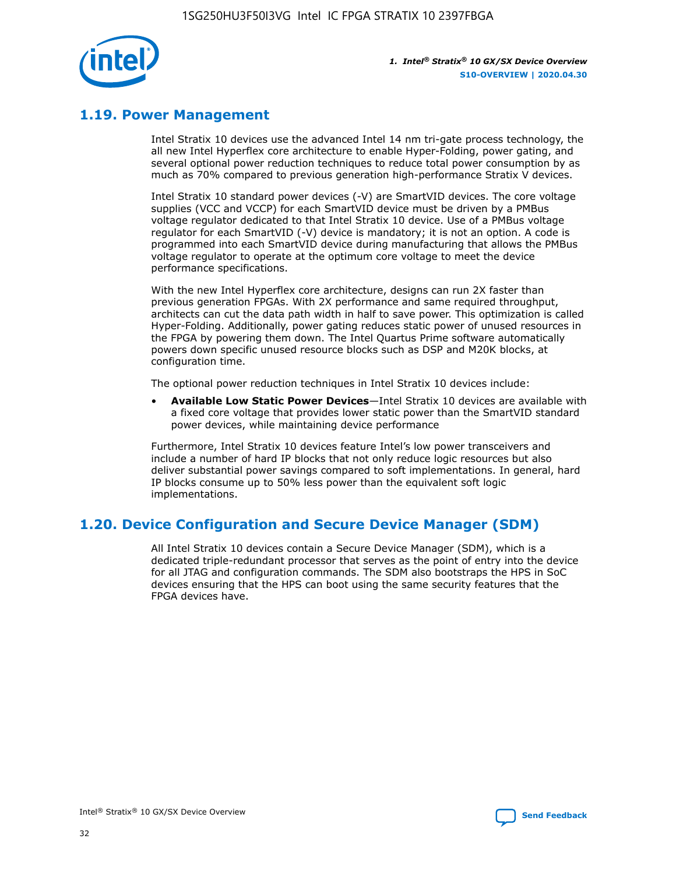

## **1.19. Power Management**

Intel Stratix 10 devices use the advanced Intel 14 nm tri-gate process technology, the all new Intel Hyperflex core architecture to enable Hyper-Folding, power gating, and several optional power reduction techniques to reduce total power consumption by as much as 70% compared to previous generation high-performance Stratix V devices.

Intel Stratix 10 standard power devices (-V) are SmartVID devices. The core voltage supplies (VCC and VCCP) for each SmartVID device must be driven by a PMBus voltage regulator dedicated to that Intel Stratix 10 device. Use of a PMBus voltage regulator for each SmartVID (-V) device is mandatory; it is not an option. A code is programmed into each SmartVID device during manufacturing that allows the PMBus voltage regulator to operate at the optimum core voltage to meet the device performance specifications.

With the new Intel Hyperflex core architecture, designs can run 2X faster than previous generation FPGAs. With 2X performance and same required throughput, architects can cut the data path width in half to save power. This optimization is called Hyper-Folding. Additionally, power gating reduces static power of unused resources in the FPGA by powering them down. The Intel Quartus Prime software automatically powers down specific unused resource blocks such as DSP and M20K blocks, at configuration time.

The optional power reduction techniques in Intel Stratix 10 devices include:

• **Available Low Static Power Devices**—Intel Stratix 10 devices are available with a fixed core voltage that provides lower static power than the SmartVID standard power devices, while maintaining device performance

Furthermore, Intel Stratix 10 devices feature Intel's low power transceivers and include a number of hard IP blocks that not only reduce logic resources but also deliver substantial power savings compared to soft implementations. In general, hard IP blocks consume up to 50% less power than the equivalent soft logic implementations.

## **1.20. Device Configuration and Secure Device Manager (SDM)**

All Intel Stratix 10 devices contain a Secure Device Manager (SDM), which is a dedicated triple-redundant processor that serves as the point of entry into the device for all JTAG and configuration commands. The SDM also bootstraps the HPS in SoC devices ensuring that the HPS can boot using the same security features that the FPGA devices have.

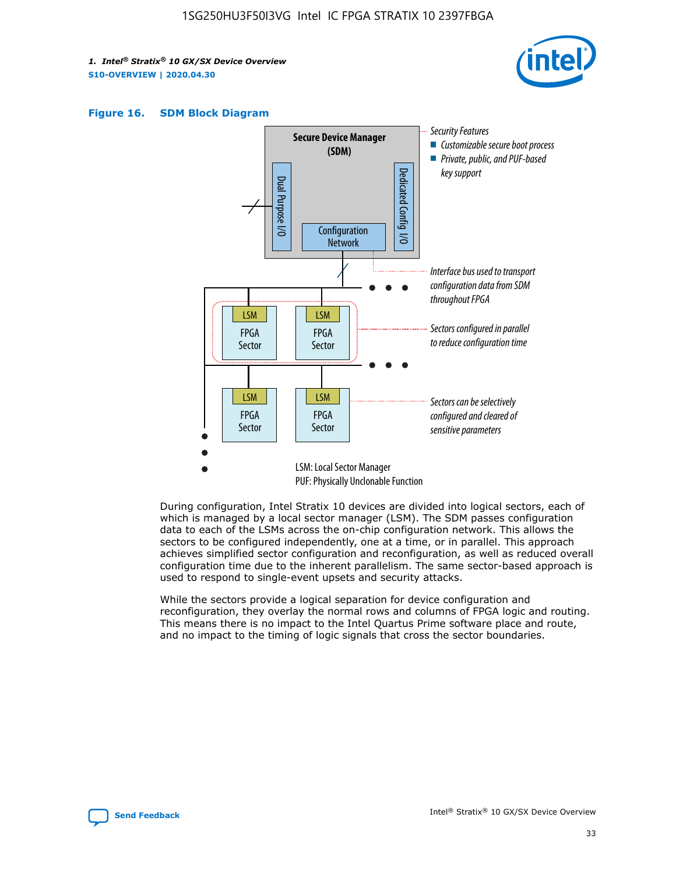





During configuration, Intel Stratix 10 devices are divided into logical sectors, each of which is managed by a local sector manager (LSM). The SDM passes configuration data to each of the LSMs across the on-chip configuration network. This allows the sectors to be configured independently, one at a time, or in parallel. This approach achieves simplified sector configuration and reconfiguration, as well as reduced overall configuration time due to the inherent parallelism. The same sector-based approach is used to respond to single-event upsets and security attacks.

While the sectors provide a logical separation for device configuration and reconfiguration, they overlay the normal rows and columns of FPGA logic and routing. This means there is no impact to the Intel Quartus Prime software place and route, and no impact to the timing of logic signals that cross the sector boundaries.

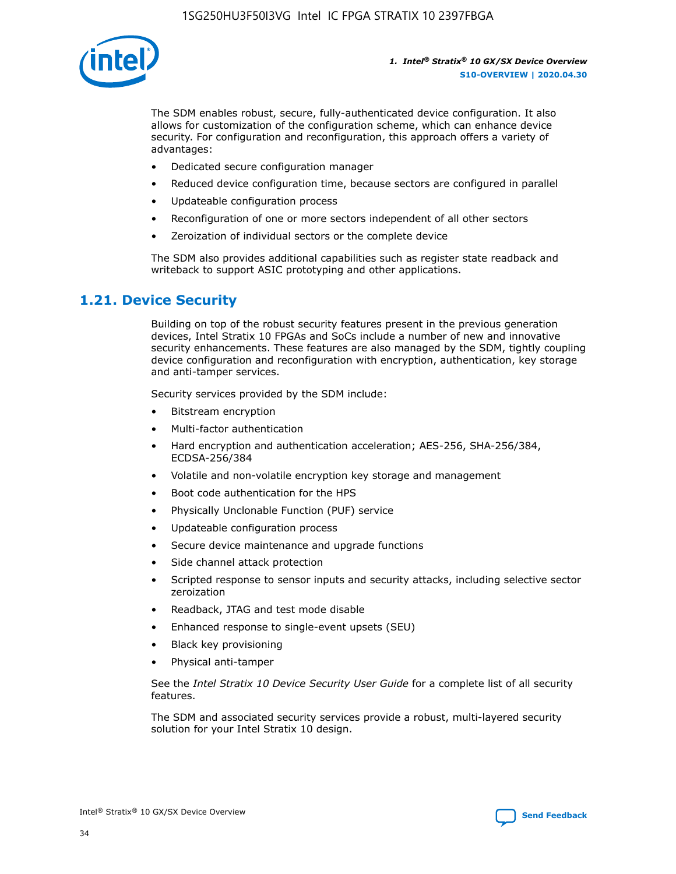

The SDM enables robust, secure, fully-authenticated device configuration. It also allows for customization of the configuration scheme, which can enhance device security. For configuration and reconfiguration, this approach offers a variety of advantages:

- Dedicated secure configuration manager
- Reduced device configuration time, because sectors are configured in parallel
- Updateable configuration process
- Reconfiguration of one or more sectors independent of all other sectors
- Zeroization of individual sectors or the complete device

The SDM also provides additional capabilities such as register state readback and writeback to support ASIC prototyping and other applications.

## **1.21. Device Security**

Building on top of the robust security features present in the previous generation devices, Intel Stratix 10 FPGAs and SoCs include a number of new and innovative security enhancements. These features are also managed by the SDM, tightly coupling device configuration and reconfiguration with encryption, authentication, key storage and anti-tamper services.

Security services provided by the SDM include:

- Bitstream encryption
- Multi-factor authentication
- Hard encryption and authentication acceleration; AES-256, SHA-256/384, ECDSA-256/384
- Volatile and non-volatile encryption key storage and management
- Boot code authentication for the HPS
- Physically Unclonable Function (PUF) service
- Updateable configuration process
- Secure device maintenance and upgrade functions
- Side channel attack protection
- Scripted response to sensor inputs and security attacks, including selective sector zeroization
- Readback, JTAG and test mode disable
- Enhanced response to single-event upsets (SEU)
- Black key provisioning
- Physical anti-tamper

See the *Intel Stratix 10 Device Security User Guide* for a complete list of all security features.

The SDM and associated security services provide a robust, multi-layered security solution for your Intel Stratix 10 design.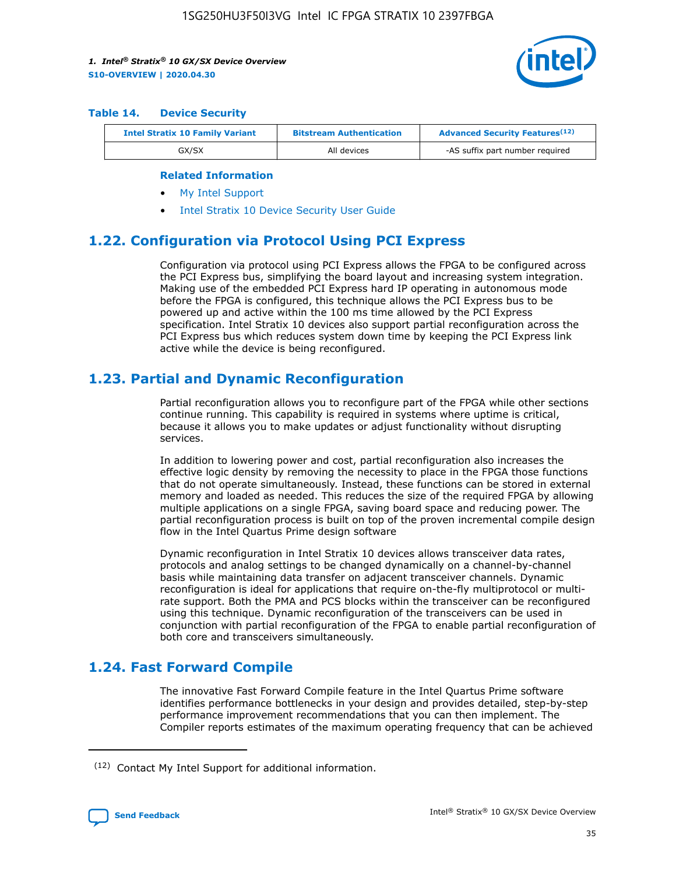

#### **Table 14. Device Security**

| <b>Intel Stratix 10 Family Variant</b> | <b>Bitstream Authentication</b> | <b>Advanced Security Features</b> <sup>(12)</sup> |
|----------------------------------------|---------------------------------|---------------------------------------------------|
| GX/SX                                  | All devices                     | -AS suffix part number required                   |

#### **Related Information**

- [My Intel Support](https://www.intel.com/content/www/us/en/programmable/my-intel/mal-home.html)
- [Intel Stratix 10 Device Security User Guide](https://www.intel.com/content/www/us/en/programmable/documentation/ndq1483601370898.html#wcd1483611014402)

## **1.22. Configuration via Protocol Using PCI Express**

Configuration via protocol using PCI Express allows the FPGA to be configured across the PCI Express bus, simplifying the board layout and increasing system integration. Making use of the embedded PCI Express hard IP operating in autonomous mode before the FPGA is configured, this technique allows the PCI Express bus to be powered up and active within the 100 ms time allowed by the PCI Express specification. Intel Stratix 10 devices also support partial reconfiguration across the PCI Express bus which reduces system down time by keeping the PCI Express link active while the device is being reconfigured.

## **1.23. Partial and Dynamic Reconfiguration**

Partial reconfiguration allows you to reconfigure part of the FPGA while other sections continue running. This capability is required in systems where uptime is critical, because it allows you to make updates or adjust functionality without disrupting services.

In addition to lowering power and cost, partial reconfiguration also increases the effective logic density by removing the necessity to place in the FPGA those functions that do not operate simultaneously. Instead, these functions can be stored in external memory and loaded as needed. This reduces the size of the required FPGA by allowing multiple applications on a single FPGA, saving board space and reducing power. The partial reconfiguration process is built on top of the proven incremental compile design flow in the Intel Quartus Prime design software

Dynamic reconfiguration in Intel Stratix 10 devices allows transceiver data rates, protocols and analog settings to be changed dynamically on a channel-by-channel basis while maintaining data transfer on adjacent transceiver channels. Dynamic reconfiguration is ideal for applications that require on-the-fly multiprotocol or multirate support. Both the PMA and PCS blocks within the transceiver can be reconfigured using this technique. Dynamic reconfiguration of the transceivers can be used in conjunction with partial reconfiguration of the FPGA to enable partial reconfiguration of both core and transceivers simultaneously.

## **1.24. Fast Forward Compile**

The innovative Fast Forward Compile feature in the Intel Quartus Prime software identifies performance bottlenecks in your design and provides detailed, step-by-step performance improvement recommendations that you can then implement. The Compiler reports estimates of the maximum operating frequency that can be achieved

<sup>(12)</sup> Contact My Intel Support for additional information.

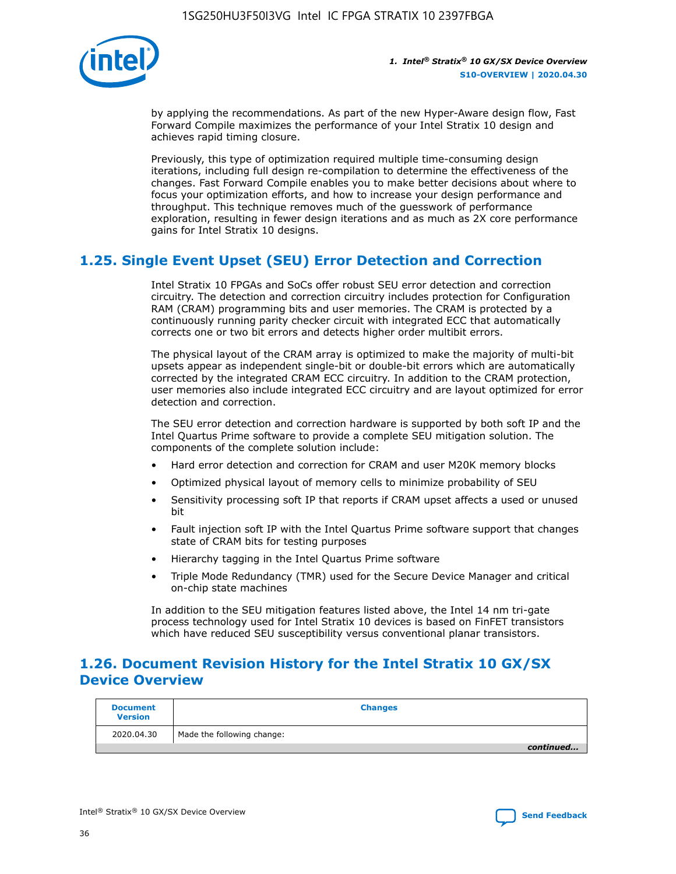

by applying the recommendations. As part of the new Hyper-Aware design flow, Fast Forward Compile maximizes the performance of your Intel Stratix 10 design and achieves rapid timing closure.

Previously, this type of optimization required multiple time-consuming design iterations, including full design re-compilation to determine the effectiveness of the changes. Fast Forward Compile enables you to make better decisions about where to focus your optimization efforts, and how to increase your design performance and throughput. This technique removes much of the guesswork of performance exploration, resulting in fewer design iterations and as much as 2X core performance gains for Intel Stratix 10 designs.

## **1.25. Single Event Upset (SEU) Error Detection and Correction**

Intel Stratix 10 FPGAs and SoCs offer robust SEU error detection and correction circuitry. The detection and correction circuitry includes protection for Configuration RAM (CRAM) programming bits and user memories. The CRAM is protected by a continuously running parity checker circuit with integrated ECC that automatically corrects one or two bit errors and detects higher order multibit errors.

The physical layout of the CRAM array is optimized to make the majority of multi-bit upsets appear as independent single-bit or double-bit errors which are automatically corrected by the integrated CRAM ECC circuitry. In addition to the CRAM protection, user memories also include integrated ECC circuitry and are layout optimized for error detection and correction.

The SEU error detection and correction hardware is supported by both soft IP and the Intel Quartus Prime software to provide a complete SEU mitigation solution. The components of the complete solution include:

- Hard error detection and correction for CRAM and user M20K memory blocks
- Optimized physical layout of memory cells to minimize probability of SEU
- Sensitivity processing soft IP that reports if CRAM upset affects a used or unused bit
- Fault injection soft IP with the Intel Quartus Prime software support that changes state of CRAM bits for testing purposes
- Hierarchy tagging in the Intel Quartus Prime software
- Triple Mode Redundancy (TMR) used for the Secure Device Manager and critical on-chip state machines

In addition to the SEU mitigation features listed above, the Intel 14 nm tri-gate process technology used for Intel Stratix 10 devices is based on FinFET transistors which have reduced SEU susceptibility versus conventional planar transistors.

## **1.26. Document Revision History for the Intel Stratix 10 GX/SX Device Overview**

| <b>Document</b><br><b>Version</b> | <b>Changes</b>             |
|-----------------------------------|----------------------------|
| 2020.04.30                        | Made the following change: |
|                                   | continued                  |

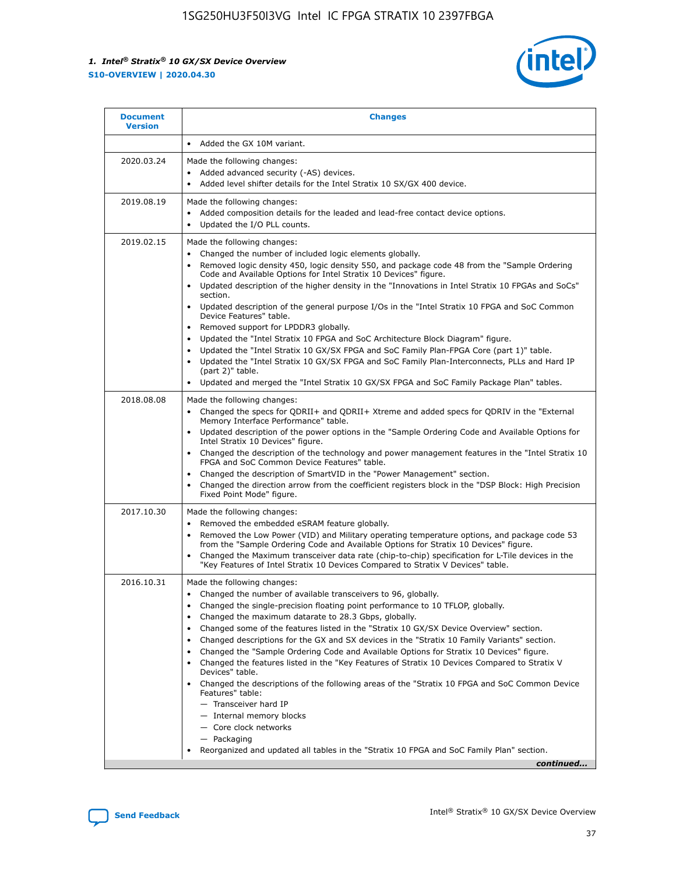

| <b>Document</b><br><b>Version</b> | <b>Changes</b>                                                                                                                                                                                                                                                                                                                                                                                                                                                                                                                                                                                                                                                                                                                                                                                                                                                                                                                                                                                              |
|-----------------------------------|-------------------------------------------------------------------------------------------------------------------------------------------------------------------------------------------------------------------------------------------------------------------------------------------------------------------------------------------------------------------------------------------------------------------------------------------------------------------------------------------------------------------------------------------------------------------------------------------------------------------------------------------------------------------------------------------------------------------------------------------------------------------------------------------------------------------------------------------------------------------------------------------------------------------------------------------------------------------------------------------------------------|
|                                   | Added the GX 10M variant.                                                                                                                                                                                                                                                                                                                                                                                                                                                                                                                                                                                                                                                                                                                                                                                                                                                                                                                                                                                   |
| 2020.03.24                        | Made the following changes:<br>Added advanced security (-AS) devices.<br>Added level shifter details for the Intel Stratix 10 SX/GX 400 device.                                                                                                                                                                                                                                                                                                                                                                                                                                                                                                                                                                                                                                                                                                                                                                                                                                                             |
| 2019.08.19                        | Made the following changes:<br>Added composition details for the leaded and lead-free contact device options.<br>$\bullet$<br>Updated the I/O PLL counts.                                                                                                                                                                                                                                                                                                                                                                                                                                                                                                                                                                                                                                                                                                                                                                                                                                                   |
| 2019.02.15                        | Made the following changes:<br>Changed the number of included logic elements globally.<br>$\bullet$<br>Removed logic density 450, logic density 550, and package code 48 from the "Sample Ordering<br>$\bullet$<br>Code and Available Options for Intel Stratix 10 Devices" figure.<br>Updated description of the higher density in the "Innovations in Intel Stratix 10 FPGAs and SoCs"<br>section.<br>Updated description of the general purpose I/Os in the "Intel Stratix 10 FPGA and SoC Common<br>$\bullet$<br>Device Features" table.<br>Removed support for LPDDR3 globally.<br>Updated the "Intel Stratix 10 FPGA and SoC Architecture Block Diagram" figure.<br>$\bullet$<br>Updated the "Intel Stratix 10 GX/SX FPGA and SoC Family Plan-FPGA Core (part 1)" table.<br>$\bullet$<br>Updated the "Intel Stratix 10 GX/SX FPGA and SoC Family Plan-Interconnects, PLLs and Hard IP<br>(part 2)" table.<br>Updated and merged the "Intel Stratix 10 GX/SX FPGA and SoC Family Package Plan" tables. |
| 2018.08.08                        | Made the following changes:<br>Changed the specs for QDRII+ and QDRII+ Xtreme and added specs for QDRIV in the "External<br>$\bullet$<br>Memory Interface Performance" table.<br>Updated description of the power options in the "Sample Ordering Code and Available Options for<br>Intel Stratix 10 Devices" figure.<br>Changed the description of the technology and power management features in the "Intel Stratix 10<br>FPGA and SoC Common Device Features" table.<br>Changed the description of SmartVID in the "Power Management" section.<br>Changed the direction arrow from the coefficient registers block in the "DSP Block: High Precision<br>$\bullet$<br>Fixed Point Mode" figure.                                                                                                                                                                                                                                                                                                          |
| 2017.10.30                        | Made the following changes:<br>Removed the embedded eSRAM feature globally.<br>$\bullet$<br>Removed the Low Power (VID) and Military operating temperature options, and package code 53<br>$\bullet$<br>from the "Sample Ordering Code and Available Options for Stratix 10 Devices" figure.<br>Changed the Maximum transceiver data rate (chip-to-chip) specification for L-Tile devices in the<br>"Key Features of Intel Stratix 10 Devices Compared to Stratix V Devices" table.                                                                                                                                                                                                                                                                                                                                                                                                                                                                                                                         |
| 2016.10.31                        | Made the following changes:<br>• Changed the number of available transceivers to 96, globally.<br>Changed the single-precision floating point performance to 10 TFLOP, globally.<br>Changed the maximum datarate to 28.3 Gbps, globally.<br>٠<br>Changed some of the features listed in the "Stratix 10 GX/SX Device Overview" section.<br>$\bullet$<br>Changed descriptions for the GX and SX devices in the "Stratix 10 Family Variants" section.<br>$\bullet$<br>Changed the "Sample Ordering Code and Available Options for Stratix 10 Devices" figure.<br>Changed the features listed in the "Key Features of Stratix 10 Devices Compared to Stratix V<br>Devices" table.<br>Changed the descriptions of the following areas of the "Stratix 10 FPGA and SoC Common Device<br>Features" table:<br>- Transceiver hard IP<br>- Internal memory blocks<br>- Core clock networks<br>- Packaging<br>Reorganized and updated all tables in the "Stratix 10 FPGA and SoC Family Plan" section.                |
|                                   | continued                                                                                                                                                                                                                                                                                                                                                                                                                                                                                                                                                                                                                                                                                                                                                                                                                                                                                                                                                                                                   |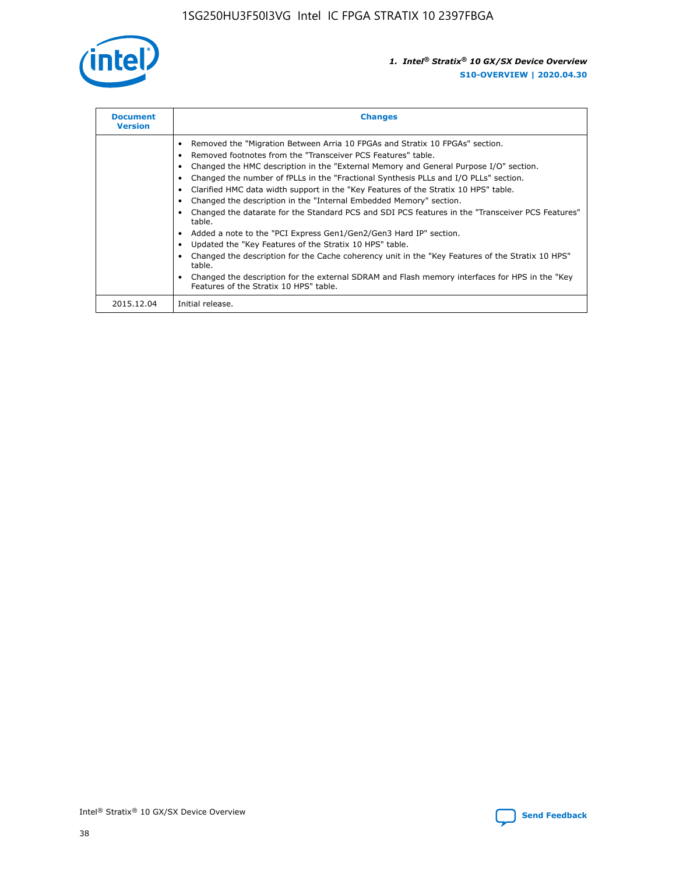

| <b>Document</b><br><b>Version</b> | <b>Changes</b>                                                                                                                                                                                                                                                                                                                                                                                                                                                                                                                                                                                                                                                                                                                                                                                                                                                                                                                                                                                     |
|-----------------------------------|----------------------------------------------------------------------------------------------------------------------------------------------------------------------------------------------------------------------------------------------------------------------------------------------------------------------------------------------------------------------------------------------------------------------------------------------------------------------------------------------------------------------------------------------------------------------------------------------------------------------------------------------------------------------------------------------------------------------------------------------------------------------------------------------------------------------------------------------------------------------------------------------------------------------------------------------------------------------------------------------------|
|                                   | Removed the "Migration Between Arria 10 FPGAs and Stratix 10 FPGAs" section.<br>Removed footnotes from the "Transceiver PCS Features" table.<br>Changed the HMC description in the "External Memory and General Purpose I/O" section.<br>Changed the number of fPLLs in the "Fractional Synthesis PLLs and I/O PLLs" section.<br>Clarified HMC data width support in the "Key Features of the Stratix 10 HPS" table.<br>Changed the description in the "Internal Embedded Memory" section.<br>Changed the datarate for the Standard PCS and SDI PCS features in the "Transceiver PCS Features"<br>table.<br>Added a note to the "PCI Express Gen1/Gen2/Gen3 Hard IP" section.<br>Updated the "Key Features of the Stratix 10 HPS" table.<br>Changed the description for the Cache coherency unit in the "Key Features of the Stratix 10 HPS"<br>table.<br>Changed the description for the external SDRAM and Flash memory interfaces for HPS in the "Key<br>Features of the Stratix 10 HPS" table. |
| 2015.12.04                        | Initial release.                                                                                                                                                                                                                                                                                                                                                                                                                                                                                                                                                                                                                                                                                                                                                                                                                                                                                                                                                                                   |